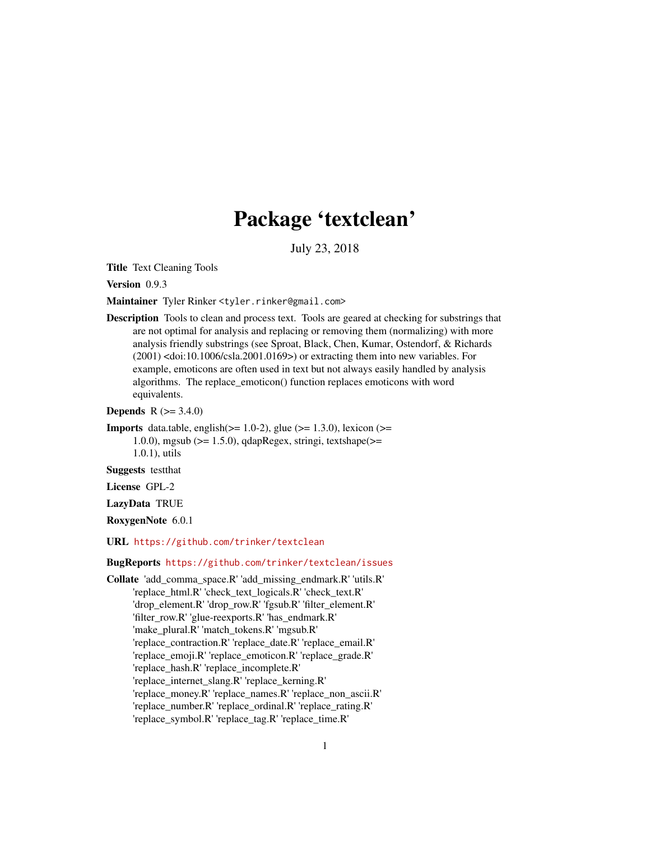# Package 'textclean'

July 23, 2018

<span id="page-0-0"></span>Title Text Cleaning Tools

Version 0.9.3

Maintainer Tyler Rinker <tyler.rinker@gmail.com>

Description Tools to clean and process text. Tools are geared at checking for substrings that are not optimal for analysis and replacing or removing them (normalizing) with more analysis friendly substrings (see Sproat, Black, Chen, Kumar, Ostendorf, & Richards (2001) <doi:10.1006/csla.2001.0169>) or extracting them into new variables. For example, emoticons are often used in text but not always easily handled by analysis algorithms. The replace\_emoticon() function replaces emoticons with word equivalents.

**Depends** R  $(>= 3.4.0)$ 

**Imports** data.table, english( $>= 1.0-2$ ), glue ( $>= 1.3.0$ ), lexicon ( $>=$ 1.0.0), mgsub ( $>= 1.5.0$ ), qdapRegex, stringi, textshape( $>=$ 1.0.1), utils

Suggests testthat

License GPL-2

LazyData TRUE

RoxygenNote 6.0.1

URL <https://github.com/trinker/textclean>

BugReports <https://github.com/trinker/textclean/issues>

Collate 'add\_comma\_space.R' 'add\_missing\_endmark.R' 'utils.R' 'replace\_html.R' 'check\_text\_logicals.R' 'check\_text.R' 'drop\_element.R' 'drop\_row.R' 'fgsub.R' 'filter\_element.R' 'filter\_row.R' 'glue-reexports.R' 'has\_endmark.R' 'make\_plural.R' 'match\_tokens.R' 'mgsub.R' 'replace\_contraction.R' 'replace\_date.R' 'replace\_email.R' 'replace\_emoji.R' 'replace\_emoticon.R' 'replace\_grade.R' 'replace\_hash.R' 'replace\_incomplete.R' 'replace\_internet\_slang.R' 'replace\_kerning.R' 'replace\_money.R' 'replace\_names.R' 'replace\_non\_ascii.R' 'replace\_number.R' 'replace\_ordinal.R' 'replace\_rating.R' 'replace\_symbol.R' 'replace\_tag.R' 'replace\_time.R'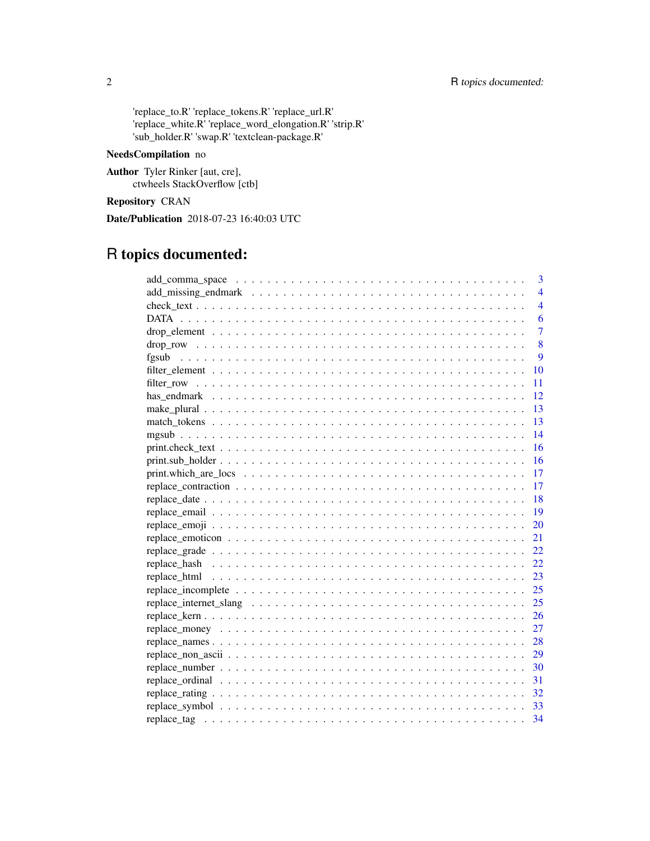'replace\_to.R' 'replace\_tokens.R' 'replace\_url.R' 'replace\_white.R' 'replace\_word\_elongation.R' 'strip.R' 'sub\_holder.R' 'swap.R' 'textclean-package.R'

# NeedsCompilation no

Author Tyler Rinker [aut, cre], ctwheels StackOverflow [ctb]

# Repository CRAN

Date/Publication 2018-07-23 16:40:03 UTC

# R topics documented:

| $\overline{3}$ |
|----------------|
| $\overline{4}$ |
| $\overline{4}$ |
| 6              |
| $\overline{7}$ |
| 8              |
| 9              |
| 10             |
| 11             |
| 12             |
| 13             |
| 13             |
| 14             |
| 16             |
| 16             |
| 17             |
| -17            |
| 18             |
| <sup>19</sup>  |
| 20             |
| 21             |
| 22             |
|                |
| 23             |
| 25             |
| 25             |
| 26             |
| 27             |
| 28             |
| 29             |
|                |
|                |
| 32             |
|                |
| 34             |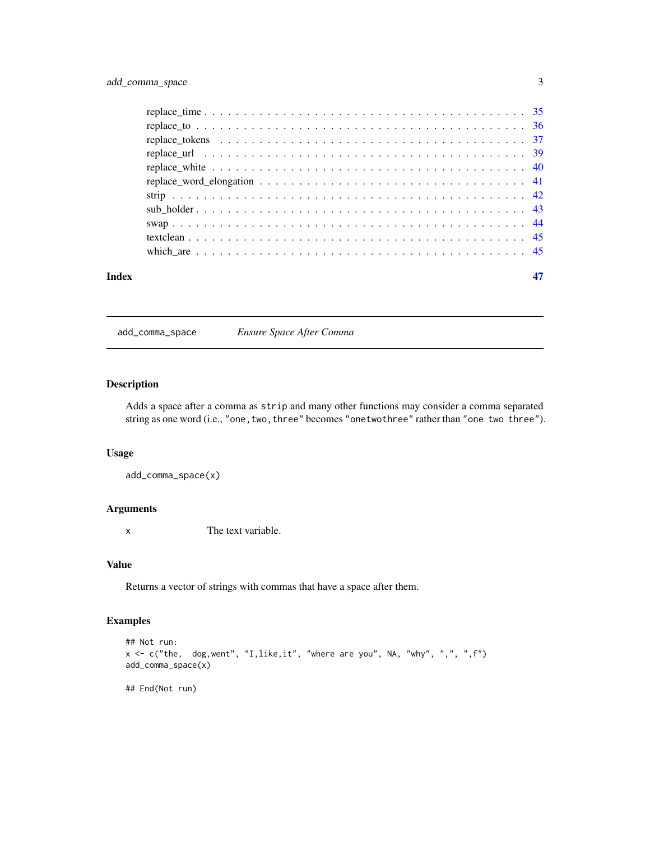<span id="page-2-0"></span>

| Index |  |
|-------|--|

add\_comma\_space *Ensure Space After Comma*

# Description

Adds a space after a comma as strip and many other functions may consider a comma separated string as one word (i.e., "one, two, three" becomes "onetwothree" rather than "one two three").

# Usage

```
add_comma_space(x)
```
# Arguments

x The text variable.

#### Value

Returns a vector of strings with commas that have a space after them.

# Examples

```
## Not run:
x <- c("the, dog,went", "I,like,it", "where are you", NA, "why", ",", ",f")
add_comma_space(x)
```
## End(Not run)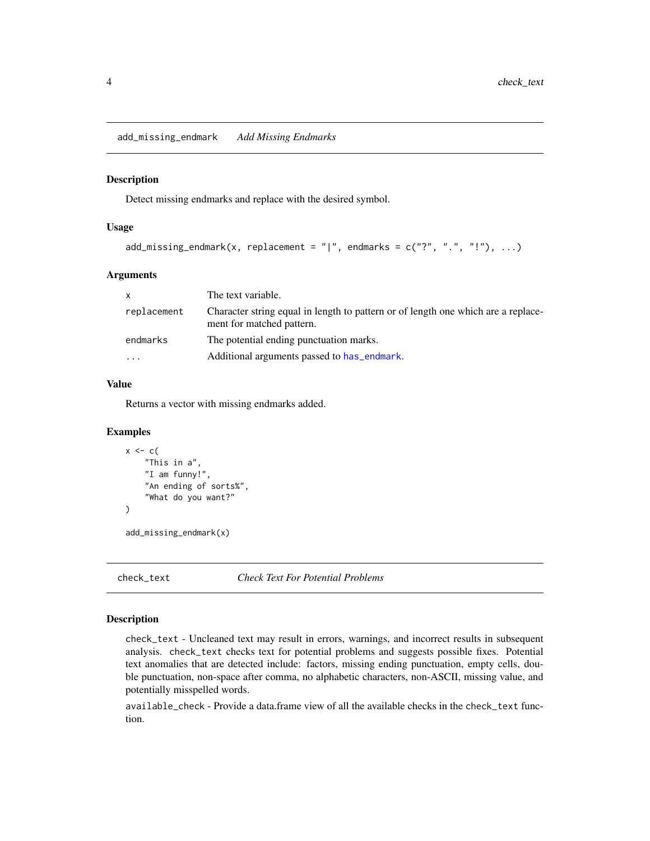<span id="page-3-0"></span>add\_missing\_endmark *Add Missing Endmarks*

#### Description

Detect missing endmarks and replace with the desired symbol.

# Usage

```
add_missing_endmark(x, replacement = "|", endmarks = c("?" " " " " " " " " "
```
# Arguments

| X           | The text variable.                                                                                             |
|-------------|----------------------------------------------------------------------------------------------------------------|
| replacement | Character string equal in length to pattern or of length one which are a replace-<br>ment for matched pattern. |
| endmarks    | The potential ending punctuation marks.                                                                        |
| .           | Additional arguments passed to has endmark.                                                                    |

# Value

Returns a vector with missing endmarks added.

# Examples

```
x \leftarrow c"This in a",
     "I am funny!",
     "An ending of sorts%",
     "What do you want?"
\mathcal{L}
```
add\_missing\_endmark(x)

check\_text *Check Text For Potential Problems*

## Description

check\_text - Uncleaned text may result in errors, warnings, and incorrect results in subsequent analysis. check\_text checks text for potential problems and suggests possible fixes. Potential text anomalies that are detected include: factors, missing ending punctuation, empty cells, double punctuation, non-space after comma, no alphabetic characters, non-ASCII, missing value, and potentially misspelled words.

available\_check - Provide a data.frame view of all the available checks in the check\_text function.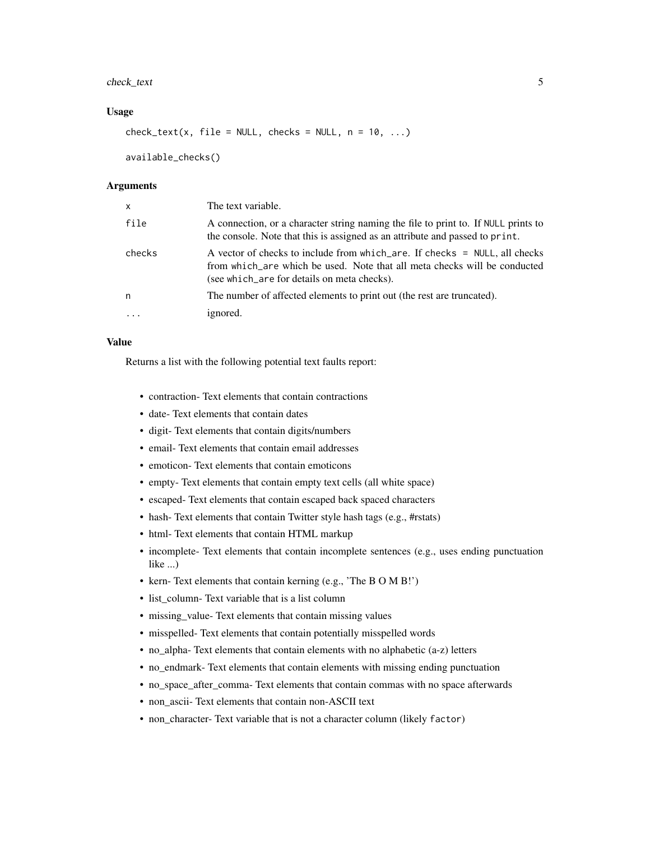# check\_text 5

#### Usage

 $check\_text(x, file = NULL, checks = NULL, n = 10, ...)$ 

available\_checks()

# Arguments

| $\mathsf{x}$ | The text variable.                                                                                                                                                                                     |
|--------------|--------------------------------------------------------------------------------------------------------------------------------------------------------------------------------------------------------|
| file         | A connection, or a character string naming the file to print to. If NULL prints to<br>the console. Note that this is assigned as an attribute and passed to print.                                     |
| checks       | A vector of checks to include from which_are. If checks = NULL, all checks<br>from which are which be used. Note that all meta checks will be conducted<br>(see which are for details on meta checks). |
| n            | The number of affected elements to print out (the rest are truncated).                                                                                                                                 |
|              | ignored.                                                                                                                                                                                               |
|              |                                                                                                                                                                                                        |

#### Value

Returns a list with the following potential text faults report:

- contraction- Text elements that contain contractions
- date- Text elements that contain dates
- digit- Text elements that contain digits/numbers
- email- Text elements that contain email addresses
- emoticon- Text elements that contain emoticons
- empty- Text elements that contain empty text cells (all white space)
- escaped- Text elements that contain escaped back spaced characters
- hash-Text elements that contain Twitter style hash tags (e.g., #rstats)
- html- Text elements that contain HTML markup
- incomplete- Text elements that contain incomplete sentences (e.g., uses ending punctuation like ...)
- kern- Text elements that contain kerning (e.g., 'The B O M B!')
- list column- Text variable that is a list column
- missing\_value- Text elements that contain missing values
- misspelled- Text elements that contain potentially misspelled words
- no\_alpha- Text elements that contain elements with no alphabetic (a-z) letters
- no\_endmark- Text elements that contain elements with missing ending punctuation
- no\_space\_after\_comma- Text elements that contain commas with no space afterwards
- non\_ascii- Text elements that contain non-ASCII text
- non\_character- Text variable that is not a character column (likely factor)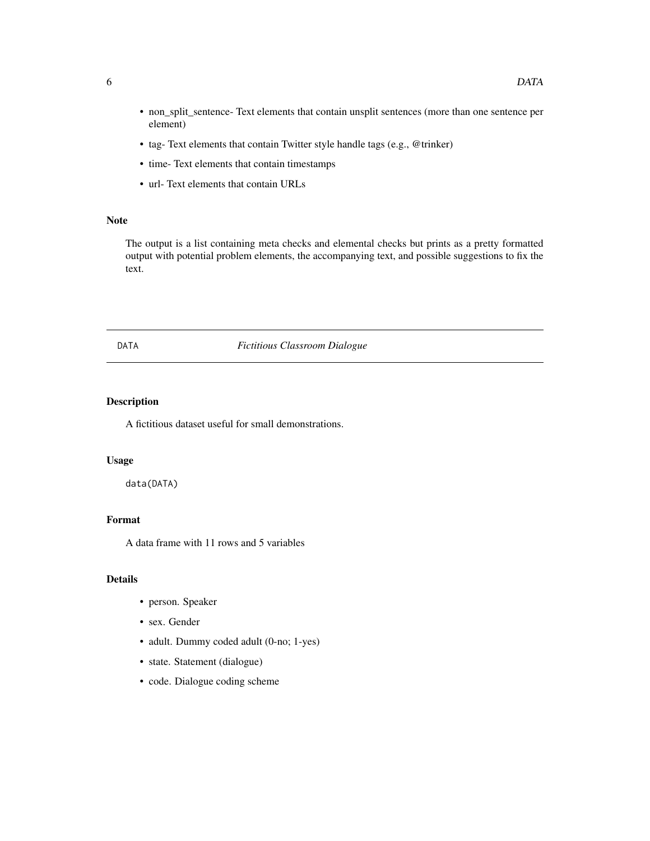- non\_split\_sentence- Text elements that contain unsplit sentences (more than one sentence per element)
- tag- Text elements that contain Twitter style handle tags (e.g., @trinker)
- time- Text elements that contain timestamps
- url- Text elements that contain URLs

# Note

The output is a list containing meta checks and elemental checks but prints as a pretty formatted output with potential problem elements, the accompanying text, and possible suggestions to fix the text.

# DATA *Fictitious Classroom Dialogue*

# Description

A fictitious dataset useful for small demonstrations.

# Usage

data(DATA)

# Format

A data frame with 11 rows and 5 variables

# Details

- person. Speaker
- sex. Gender
- adult. Dummy coded adult (0-no; 1-yes)
- state. Statement (dialogue)
- code. Dialogue coding scheme

<span id="page-5-0"></span>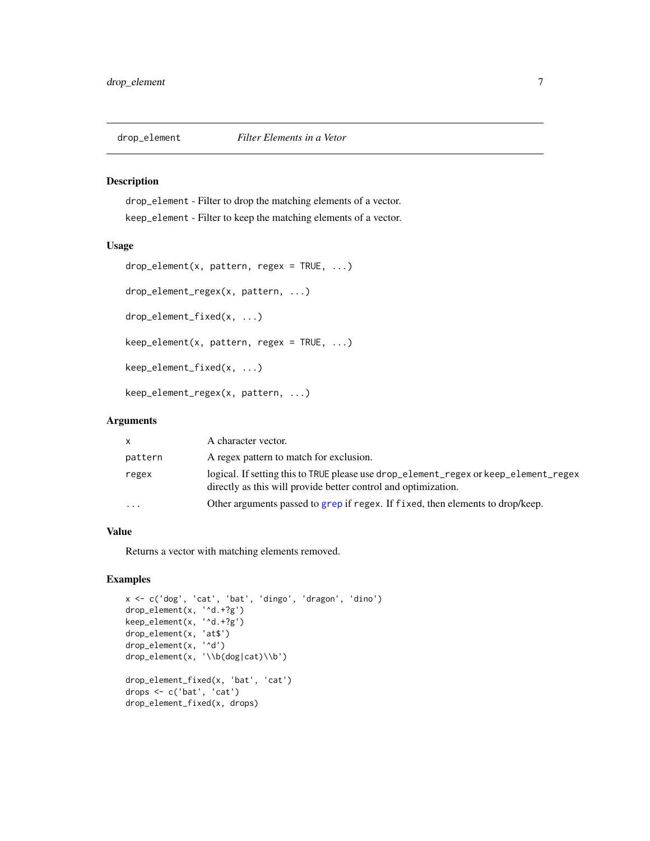<span id="page-6-0"></span>

drop\_element - Filter to drop the matching elements of a vector. keep\_element - Filter to keep the matching elements of a vector.

# Usage

```
drop\_element(x, pattern, regex = TRUE, ...)drop_element_regex(x, pattern, ...)
drop_element_fixed(x, ...)
keep\_element(x, pattern, regex = TRUE, ...)keep_element_fixed(x, ...)
keep_element_regex(x, pattern, ...)
```
# Arguments

| x         | A character vector.                                                                                                                                    |
|-----------|--------------------------------------------------------------------------------------------------------------------------------------------------------|
| pattern   | A regex pattern to match for exclusion.                                                                                                                |
| regex     | logical. If setting this to TRUE please use drop_element_regex or keep_element_regex<br>directly as this will provide better control and optimization. |
| $\ddotsc$ | Other arguments passed to grep if regex. If fixed, then elements to drop/keep.                                                                         |
|           |                                                                                                                                                        |

# Value

Returns a vector with matching elements removed.

```
x <- c('dog', 'cat', 'bat', 'dingo', 'dragon', 'dino')
drop_element(x, '^d.+?g')
keep_element(x, '^d.+?g')
drop_element(x, 'at$')
drop_element(x, '^d')
drop_element(x, '\\b(dog|cat)\\b')
drop_element_fixed(x, 'bat', 'cat')
drops <- c('bat', 'cat')
drop_element_fixed(x, drops)
```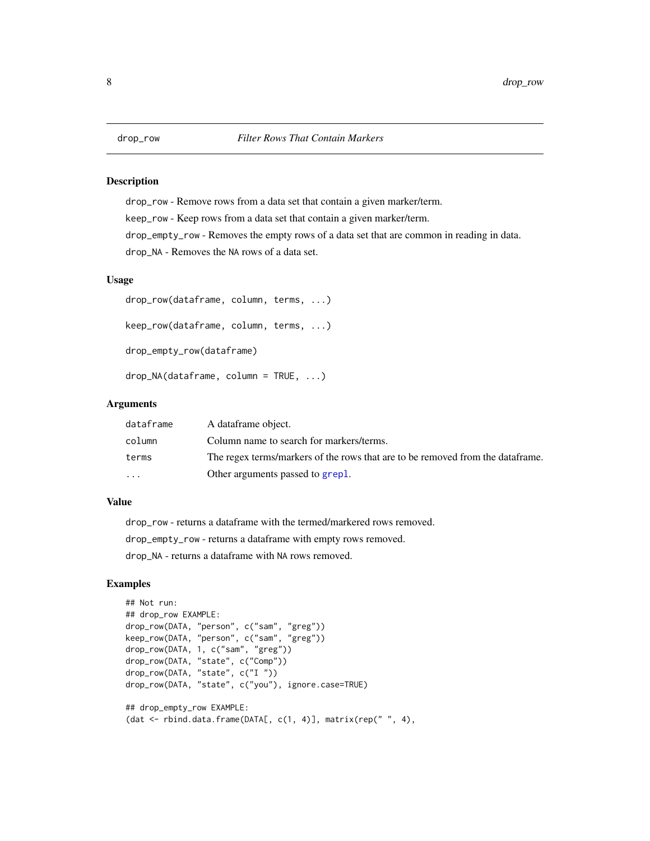drop\_row - Remove rows from a data set that contain a given marker/term. keep\_row - Keep rows from a data set that contain a given marker/term. drop\_empty\_row - Removes the empty rows of a data set that are common in reading in data. drop\_NA - Removes the NA rows of a data set.

# Usage

```
drop_row(dataframe, column, terms, ...)
keep_row(dataframe, column, terms, ...)
drop_empty_row(dataframe)
drop_NA(dataframe, column = TRUE, ...)
```
# Arguments

| dataframe | A dataframe object.                                                            |
|-----------|--------------------------------------------------------------------------------|
| column    | Column name to search for markers/terms.                                       |
| terms     | The regex terms/markers of the rows that are to be removed from the dataframe. |
| $\ddotsc$ | Other arguments passed to grepl.                                               |

# Value

drop\_row - returns a dataframe with the termed/markered rows removed.

drop\_empty\_row - returns a dataframe with empty rows removed.

drop\_NA - returns a dataframe with NA rows removed.

```
## Not run:
## drop_row EXAMPLE:
drop_row(DATA, "person", c("sam", "greg"))
keep_row(DATA, "person", c("sam", "greg"))
drop_row(DATA, 1, c("sam", "greg"))
drop_row(DATA, "state", c("Comp"))
drop_row(DATA, "state", c("I "))
drop_row(DATA, "state", c("you"), ignore.case=TRUE)
## drop_empty_row EXAMPLE:
(dat \le rbind.data.frame(DATA[, c(1, 4)], matrix(rep(" ", 4),
```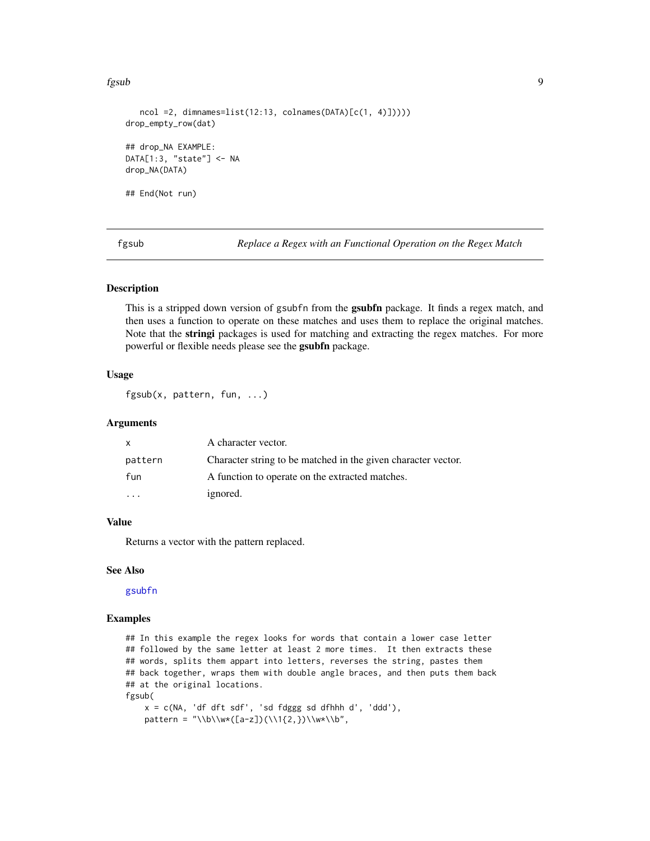#### <span id="page-8-0"></span>fgsub 99 and 1992 and 1993 and 1993 and 1993 and 1993 and 1993 and 1993 and 1993 and 1993 and 1993 and 1993 and 1993 and 1993 and 1993 and 1993 and 1993 and 1993 and 1993 and 1993 and 1993 and 1993 and 1993 and 1993 and 19

```
ncol =2, dimnames=list(12:13, colnames(DATA)[c(1, 4)]))))
drop_empty_row(dat)
## drop_NA EXAMPLE:
DATA[1:3, "state"] <- NA
drop_NA(DATA)
## End(Not run)
```
fgsub *Replace a Regex with an Functional Operation on the Regex Match*

#### Description

This is a stripped down version of gsubfn from the **gsubfn** package. It finds a regex match, and then uses a function to operate on these matches and uses them to replace the original matches. Note that the stringi packages is used for matching and extracting the regex matches. For more powerful or flexible needs please see the gsubfn package.

#### Usage

fgsub(x, pattern, fun, ...)

#### Arguments

| X       | A character vector.                                           |
|---------|---------------------------------------------------------------|
| pattern | Character string to be matched in the given character vector. |
| fun     | A function to operate on the extracted matches.               |
|         | ignored.                                                      |

# Value

Returns a vector with the pattern replaced.

#### See Also

#### [gsubfn](#page-0-0)

```
## In this example the regex looks for words that contain a lower case letter
## followed by the same letter at least 2 more times. It then extracts these
## words, splits them appart into letters, reverses the string, pastes them
## back together, wraps them with double angle braces, and then puts them back
## at the original locations.
fgsub(
   x = c(NA, 'df dft sdf', 'sd fdggg sd dfhhh d', 'ddd'),
   pattern = "\\b\\w*([a-z])(\\1{2,})\\w*\\b",
```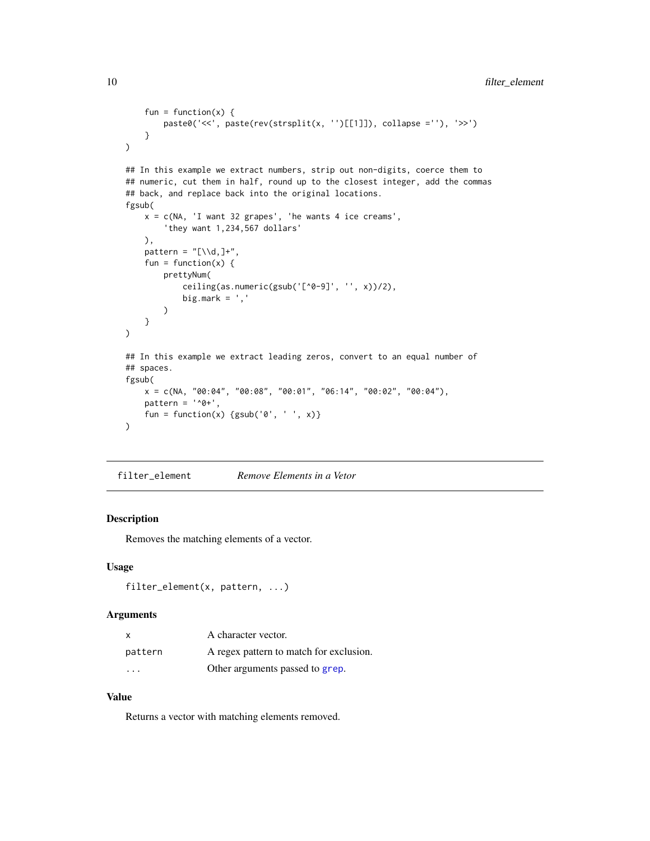```
fun = function(x) {
        paste0('<<', paste(rev(strsplit(x, '')[[1]]), collapse =''), '>>')
    }
)
## In this example we extract numbers, strip out non-digits, coerce them to
## numeric, cut them in half, round up to the closest integer, add the commas
## back, and replace back into the original locations.
fgsub(
    x = c(NA, 'I want 32 grapes', 'he wants 4 ice creams','they want 1,234,567 dollars'
    ),
    pattern = "[\lambda\ d, ]+",fun = function(x) {
        prettyNum(
            ceiling(as.numeric(gsub('[^0-9]', '', x))/2),
            big.mark = ',)
    }
\mathcal{L}## In this example we extract leading zeros, convert to an equal number of
## spaces.
fgsub(
    x = c(NA, '00:04", '00:08", '00:01", '06:14", '00:02", '00:04"),pattern = '^0 +',
    fun = function(x) {gsub('0', ' ', x)}
\mathcal{L}
```
filter\_element *Remove Elements in a Vetor*

# Description

Removes the matching elements of a vector.

# Usage

```
filter_element(x, pattern, ...)
```
# Arguments

| X       | A character vector.                     |
|---------|-----------------------------------------|
| pattern | A regex pattern to match for exclusion. |
| $\cdot$ | Other arguments passed to grep.         |

# Value

Returns a vector with matching elements removed.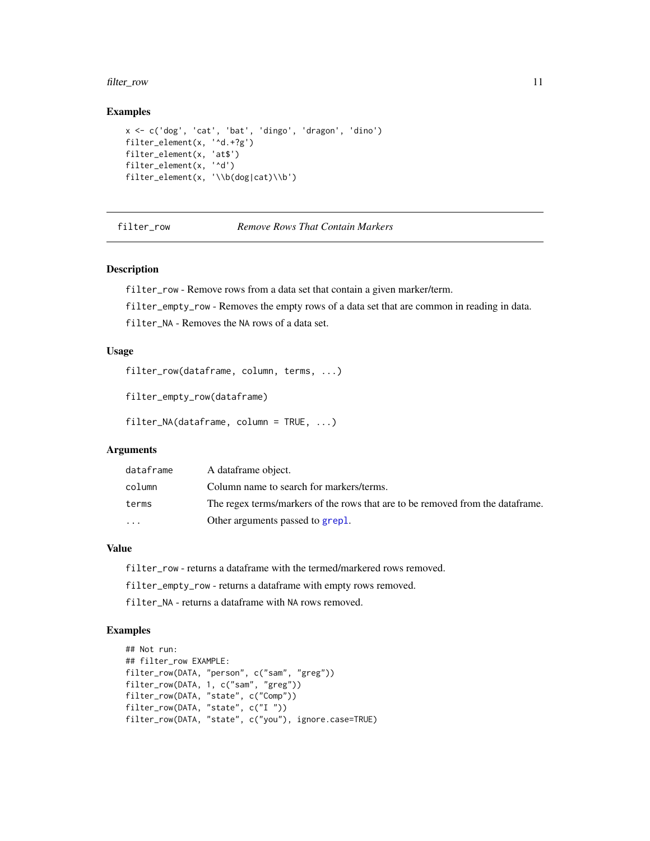#### <span id="page-10-0"></span>filter\_row 11

#### Examples

```
x <- c('dog', 'cat', 'bat', 'dingo', 'dragon', 'dino')
filter_element(x, '^d.+?g')
filter_element(x, 'at$')
filter_element(x, '^d')
filter_element(x, '\\b(dog|cat)\\b')
```
filter\_row *Remove Rows That Contain Markers*

# Description

filter\_row - Remove rows from a data set that contain a given marker/term.

filter\_empty\_row - Removes the empty rows of a data set that are common in reading in data.

filter\_NA - Removes the NA rows of a data set.

# Usage

```
filter_row(dataframe, column, terms, ...)
```

```
filter_empty_row(dataframe)
```

```
filter_NA(dataframe, column = TRUE, ...)
```
# Arguments

| dataframe | A dataframe object.                                                            |
|-----------|--------------------------------------------------------------------------------|
| column    | Column name to search for markers/terms.                                       |
| terms     | The regex terms/markers of the rows that are to be removed from the dataframe. |
| .         | Other arguments passed to grepl.                                               |

# Value

filter\_row - returns a dataframe with the termed/markered rows removed.

filter\_empty\_row - returns a dataframe with empty rows removed.

filter\_NA - returns a dataframe with NA rows removed.

```
## Not run:
## filter_row EXAMPLE:
filter_row(DATA, "person", c("sam", "greg"))
filter_row(DATA, 1, c("sam", "greg"))
filter_row(DATA, "state", c("Comp"))
filter_row(DATA, "state", c("I "))
filter_row(DATA, "state", c("you"), ignore.case=TRUE)
```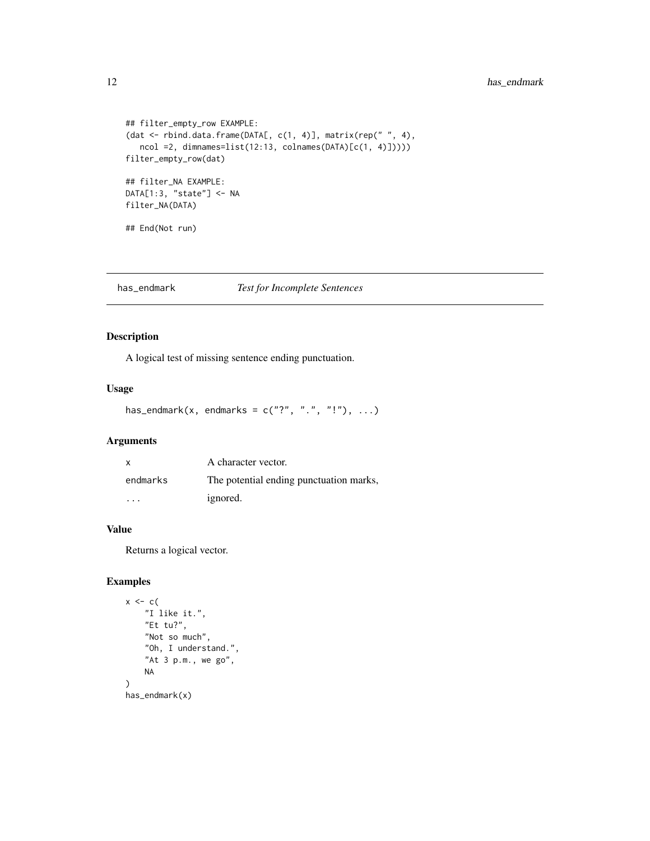# <span id="page-11-0"></span>12 has\_endmark

```
## filter_empty_row EXAMPLE:
(dat <- rbind.data.frame(DATA[, c(1, 4)], matrix(rep(" ", 4),
  ncol =2, dimnames=list(12:13, colnames(DATA)[c(1, 4)]))))
filter_empty_row(dat)
## filter_NA EXAMPLE:
DATA[1:3, "state"] <- NA
filter_NA(DATA)
## End(Not run)
```
<span id="page-11-1"></span>has\_endmark *Test for Incomplete Sentences*

# Description

A logical test of missing sentence ending punctuation.

#### Usage

has\_endmark(x, endmarks =  $c("?"$ , ".", "!"), ...)

# Arguments

| X.       | A character vector.                     |
|----------|-----------------------------------------|
| endmarks | The potential ending punctuation marks, |
| .        | ignored.                                |

#### Value

Returns a logical vector.

```
x \leftarrow c (
    "I like it.",
    "Et tu?",
    "Not so much",
    "Oh, I understand.",
    "At 3 p.m., we go",
    NA
)
has_endmark(x)
```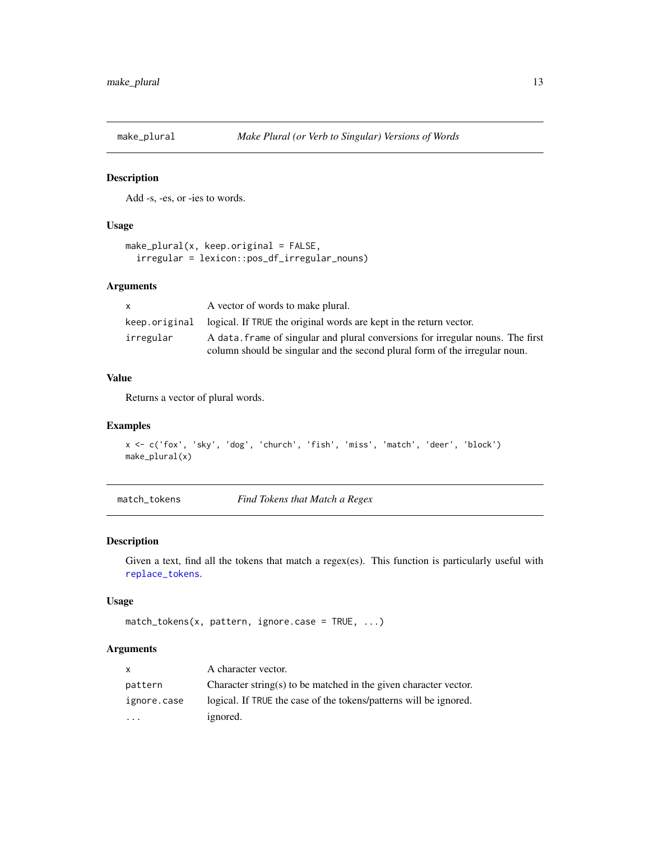<span id="page-12-0"></span>

Add -s, -es, or -ies to words.

#### Usage

```
make\_plural(x, keep.original = FALSE,irregular = lexicon::pos_df_irregular_nouns)
```
# Arguments

| $\mathsf{x}$  | A vector of words to make plural.                                               |
|---------------|---------------------------------------------------------------------------------|
| keep.original | logical. If TRUE the original words are kept in the return vector.              |
| irregular     | A data, frame of singular and plural conversions for irregular nouns. The first |
|               | column should be singular and the second plural form of the irregular noun.     |

#### Value

Returns a vector of plural words.

# Examples

```
x <- c('fox', 'sky', 'dog', 'church', 'fish', 'miss', 'match', 'deer', 'block')
make_plural(x)
```
<span id="page-12-1"></span>match\_tokens *Find Tokens that Match a Regex*

#### Description

Given a text, find all the tokens that match a regex(es). This function is particularly useful with [replace\\_tokens](#page-36-1).

#### Usage

```
match\_tokens(x, pattern, ignore case = TRUE, ...)
```
# Arguments

| X           | A character vector.                                               |
|-------------|-------------------------------------------------------------------|
| pattern     | Character string(s) to be matched in the given character vector.  |
| ignore.case | logical. If TRUE the case of the tokens/patterns will be ignored. |
| $\cdot$     | ignored.                                                          |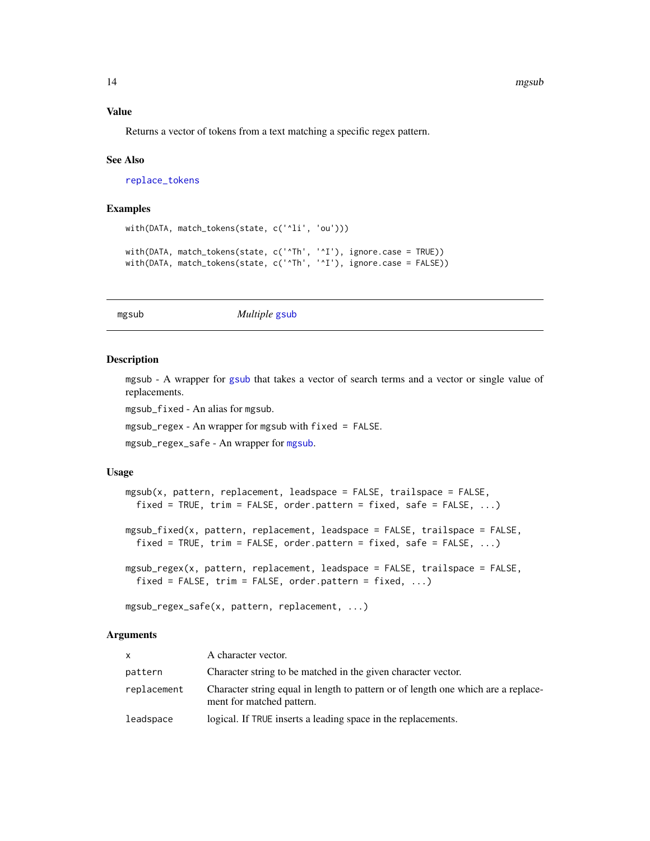# <span id="page-13-0"></span>Value

Returns a vector of tokens from a text matching a specific regex pattern.

#### See Also

[replace\\_tokens](#page-36-1)

# Examples

```
with(DATA, match_tokens(state, c('^li', 'ou')))
with(DATA, match_tokens(state, c('^Th', '^I'), ignore.case = TRUE))
with(DATA, match_tokens(state, c('^Th', '^I'), ignore.case = FALSE))
```
<span id="page-13-1"></span>mgsub *Multiple* [gsub](#page-0-0)

#### Description

mgsub - A wrapper for [gsub](#page-0-0) that takes a vector of search terms and a vector or single value of replacements.

mgsub\_fixed - An alias for mgsub.

mgsub\_regex - An wrapper for mgsub with fixed = FALSE.

mgsub\_regex\_safe - An wrapper for [mgsub](#page-13-1).

#### Usage

```
mgsub(x, pattern, replacement, leadspace = FALSE, trailspace = FALSE,fixed = TRUE, trim = FALSE, order.pattern = fixed, safe = FALSE, ...)
mgsub_fixed(x, pattern, replacement, leadspace = FALSE, trailspace = FALSE,
 fixed = TRUE, trim = FALSE, order.pattern = fixed, safe = FALSE, \ldots)
mgsub_regex(x, pattern, replacement, leadspace = FALSE, trailspace = FALSE,
 fixed = FALSE, trim = FALSE, order.pattern = fixed, ...)
```
mgsub\_regex\_safe(x, pattern, replacement, ...)

#### Arguments

| <b>X</b>    | A character vector.                                                                                            |
|-------------|----------------------------------------------------------------------------------------------------------------|
| pattern     | Character string to be matched in the given character vector.                                                  |
| replacement | Character string equal in length to pattern or of length one which are a replace-<br>ment for matched pattern. |
| leadspace   | logical. If TRUE inserts a leading space in the replacements.                                                  |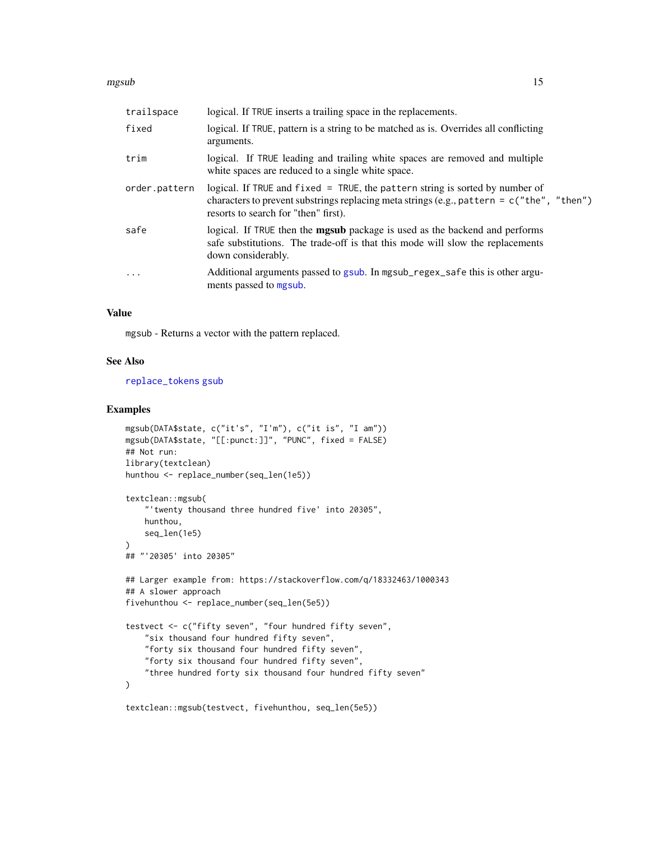#### <span id="page-14-0"></span>mgsub 15

| trailspace        | logical. If TRUE inserts a trailing space in the replacements.                                                                                                                                                          |
|-------------------|-------------------------------------------------------------------------------------------------------------------------------------------------------------------------------------------------------------------------|
| fixed             | logical. If TRUE, pattern is a string to be matched as is. Overrides all conflicting<br>arguments.                                                                                                                      |
| trim              | logical. If TRUE leading and trailing white spaces are removed and multiple<br>white spaces are reduced to a single white space.                                                                                        |
| order.pattern     | logical. If TRUE and $fixed = TRUE$ , the pattern string is sorted by number of<br>characters to prevent substrings replacing meta strings (e.g., pattern = $c$ ("the", "then")<br>resorts to search for "then" first). |
| safe              | logical. If TRUE then the <b>mgsub</b> package is used as the backend and performs<br>safe substitutions. The trade-off is that this mode will slow the replacements<br>down considerably.                              |
| $\cdot\cdot\cdot$ | Additional arguments passed to gsub. In mgsub_regex_safe this is other argu-<br>ments passed to mgsub.                                                                                                                  |

#### Value

mgsub - Returns a vector with the pattern replaced.

# See Also

[replace\\_tokens](#page-36-1) [gsub](#page-0-0)

```
mgsub(DATA$state, c("it's", "I'm"), c("it is", "I am"))
mgsub(DATA$state, "[[:punct:]]", "PUNC", fixed = FALSE)
## Not run:
library(textclean)
hunthou <- replace_number(seq_len(1e5))
textclean::mgsub(
    "'twenty thousand three hundred five' into 20305",
   hunthou,
   seq_len(1e5)
\lambda## "'20305' into 20305"
## Larger example from: https://stackoverflow.com/q/18332463/1000343
## A slower approach
fivehunthou <- replace_number(seq_len(5e5))
testvect <- c("fifty seven", "four hundred fifty seven",
    "six thousand four hundred fifty seven",
    "forty six thousand four hundred fifty seven",
    "forty six thousand four hundred fifty seven",
    "three hundred forty six thousand four hundred fifty seven"
\mathcal{L}textclean::mgsub(testvect, fivehunthou, seq_len(5e5))
```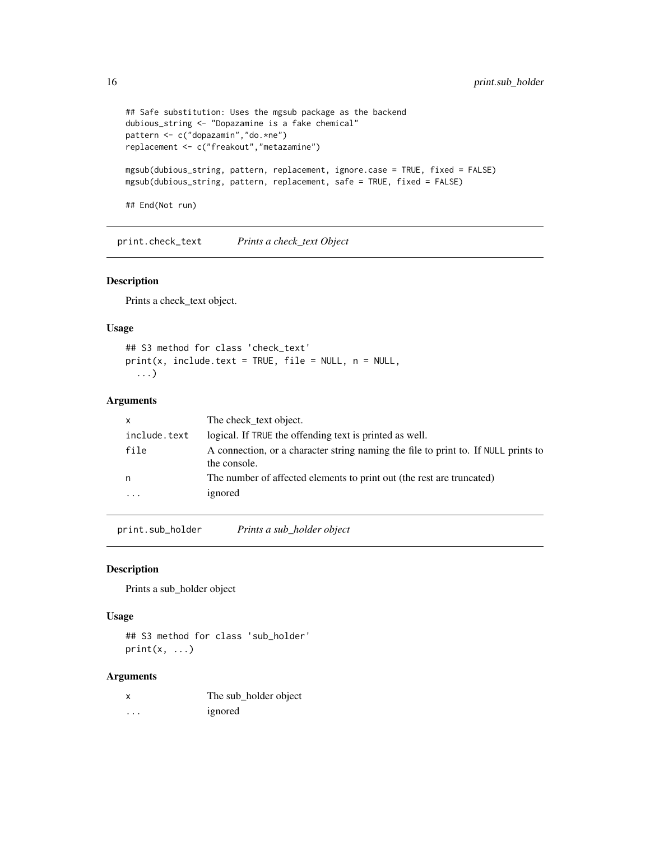```
## Safe substitution: Uses the mgsub package as the backend
dubious_string <- "Dopazamine is a fake chemical"
pattern <- c("dopazamin","do.*ne")
replacement <- c("freakout","metazamine")
mgsub(dubious_string, pattern, replacement, ignore.case = TRUE, fixed = FALSE)
mgsub(dubious_string, pattern, replacement, safe = TRUE, fixed = FALSE)
## End(Not run)
```
print.check\_text *Prints a check\_text Object*

# Description

Prints a check\_text object.

#### Usage

## S3 method for class 'check\_text'  $print(x, include.text = TRUE, file = NULL, n = NULL,$ ...)

#### Arguments

|                         | The check_text object.                                                                             |
|-------------------------|----------------------------------------------------------------------------------------------------|
| include.text            | logical. If TRUE the offending text is printed as well.                                            |
| file                    | A connection, or a character string naming the file to print to. If NULL prints to<br>the console. |
| n                       | The number of affected elements to print out (the rest are truncated)                              |
| $\cdot$ $\cdot$ $\cdot$ | ignored                                                                                            |
|                         |                                                                                                    |

print.sub\_holder *Prints a sub\_holder object*

#### Description

Prints a sub\_holder object

#### Usage

## S3 method for class 'sub\_holder'  $print(x, \ldots)$ 

#### Arguments

|          | The sub_holder object |
|----------|-----------------------|
| $\cdots$ | ignored               |

<span id="page-15-0"></span>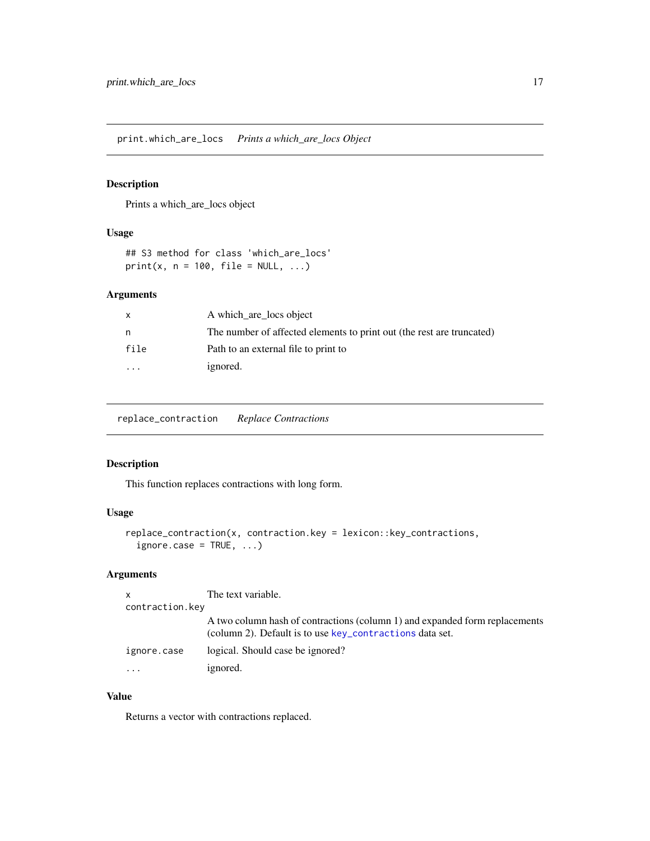<span id="page-16-0"></span>print.which\_are\_locs *Prints a which\_are\_locs Object*

# Description

Prints a which\_are\_locs object

# Usage

## S3 method for class 'which\_are\_locs'  $print(x, n = 100, file = NULL, ...)$ 

# Arguments

| x                       | A which are locs object                                               |
|-------------------------|-----------------------------------------------------------------------|
| n                       | The number of affected elements to print out (the rest are truncated) |
| file                    | Path to an external file to print to                                  |
| $\cdot$ $\cdot$ $\cdot$ | ignored.                                                              |

replace\_contraction *Replace Contractions*

# Description

This function replaces contractions with long form.

# Usage

```
replace_contraction(x, contraction.key = lexicon::key_contractions,
 ignore-case = TRUE, ...)
```
# Arguments

| $\mathsf{x}$    | The text variable.                                                                                                                      |
|-----------------|-----------------------------------------------------------------------------------------------------------------------------------------|
| contraction.key |                                                                                                                                         |
|                 | A two column hash of contractions (column 1) and expanded form replacements<br>(column 2). Default is to use key_contractions data set. |
| ignore.case     | logical. Should case be ignored?                                                                                                        |
| $\ddotsc$       | ignored.                                                                                                                                |

# Value

Returns a vector with contractions replaced.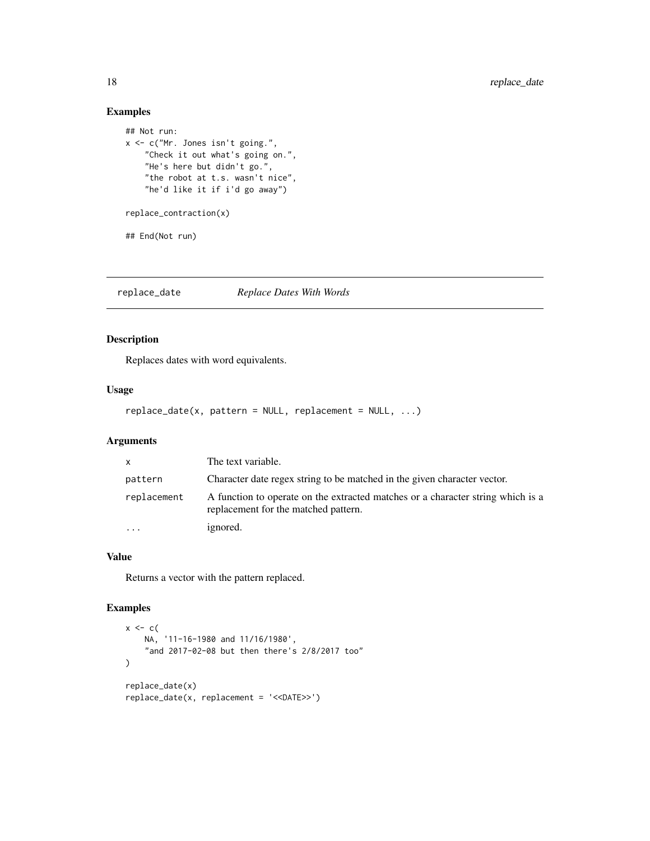# Examples

```
## Not run:
x <- c("Mr. Jones isn't going.",
    "Check it out what's going on.",
   "He's here but didn't go.",
    "the robot at t.s. wasn't nice",
    "he'd like it if i'd go away")
replace_contraction(x)
## End(Not run)
```
replace\_date *Replace Dates With Words*

# Description

Replaces dates with word equivalents.

#### Usage

```
replace_data(x, pattern = NULL, replacement = NULL, ...)
```
# Arguments

| $\mathsf{X}$            | The text variable.                                                                                                      |
|-------------------------|-------------------------------------------------------------------------------------------------------------------------|
| pattern                 | Character date regex string to be matched in the given character vector.                                                |
| replacement             | A function to operate on the extracted matches or a character string which is a<br>replacement for the matched pattern. |
| $\cdot$ $\cdot$ $\cdot$ | ignored.                                                                                                                |

# Value

Returns a vector with the pattern replaced.

```
x \leq -c(
    NA, '11-16-1980 and 11/16/1980',
    "and 2017-02-08 but then there's 2/8/2017 too"
\mathcal{L}replace_date(x)
replace_date(x, replacement = '<<DATE>>')
```
<span id="page-17-0"></span>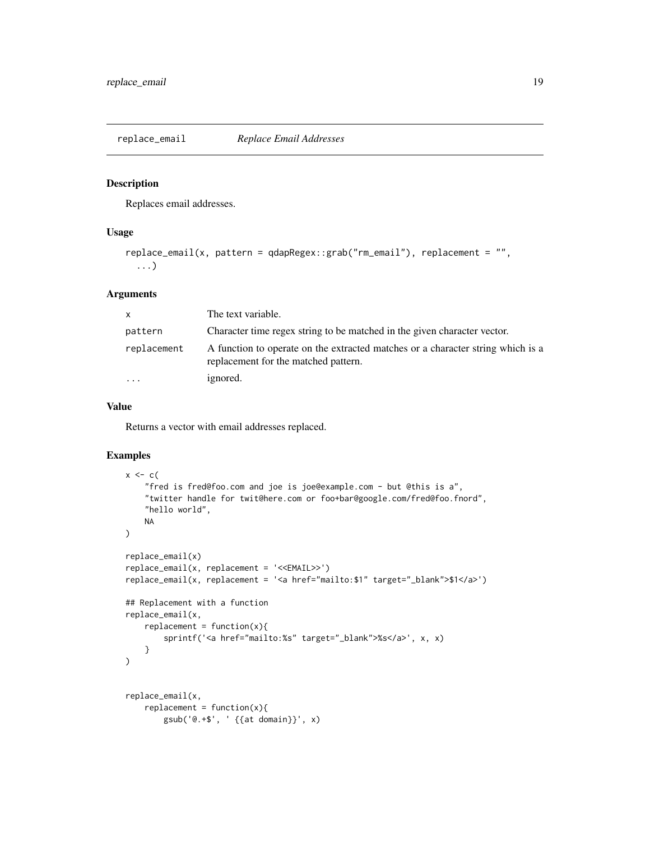<span id="page-18-0"></span>replace\_email *Replace Email Addresses*

#### Description

Replaces email addresses.

## Usage

```
replace_email(x, pattern = qdapRegex::grab("rm_email"), replacement = "",
  ...)
```
#### Arguments

| $\mathsf{X}$            | The text variable.                                                                                                      |
|-------------------------|-------------------------------------------------------------------------------------------------------------------------|
| pattern                 | Character time regex string to be matched in the given character vector.                                                |
| replacement             | A function to operate on the extracted matches or a character string which is a<br>replacement for the matched pattern. |
| $\cdot$ $\cdot$ $\cdot$ | ignored.                                                                                                                |

#### Value

Returns a vector with email addresses replaced.

```
x \leq -c(
    "fred is fred@foo.com and joe is joe@example.com - but @this is a",
    "twitter handle for twit@here.com or foo+bar@google.com/fred@foo.fnord",
    "hello world",
   NA
\lambdareplace_email(x)
replace_email(x, replacement = '<<EMAIL>>')
replace_email(x, replacement = '<a href="mailto:$1" target="_blank">$1</a>')
## Replacement with a function
replace_email(x,
   replacent = function(x)sprintf('<a href="mailto:%s" target="_blank">%s</a>', x, x)
    }
)
replace_email(x,
   replacent = function(x)gsub('@.+$', ' {{at domain}}', x)
```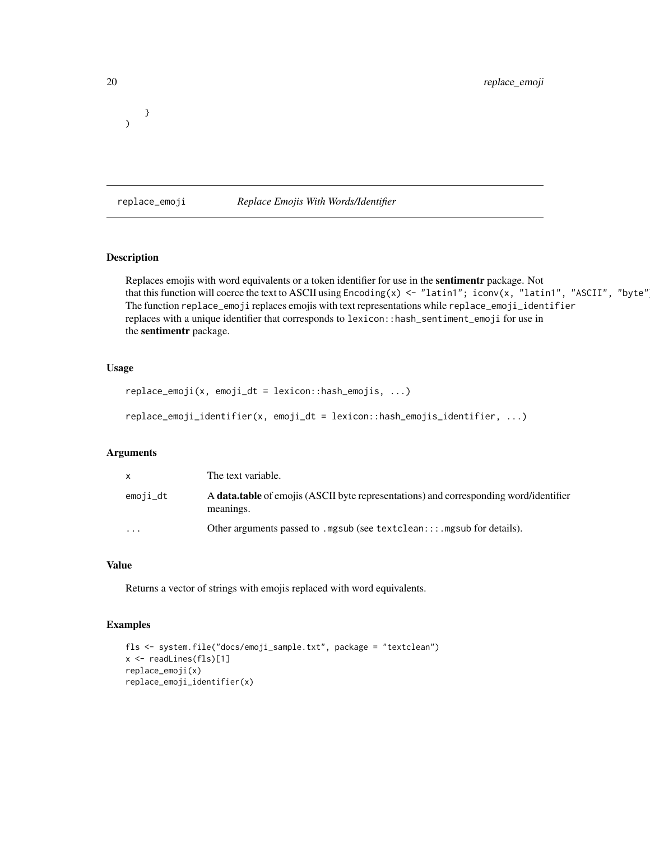<span id="page-19-0"></span>} )

#### replace\_emoji *Replace Emojis With Words/Identifier*

# Description

Replaces emojis with word equivalents or a token identifier for use in the sentimentr package. Not that this function will coerce the text to ASCII using  $Encoding(x) \le -$  "latin1"; iconv(x, "latin1", "ASCII", "byte" The function replace\_emoji replaces emojis with text representations while replace\_emoji\_identifier replaces with a unique identifier that corresponds to lexicon::hash\_sentiment\_emoji for use in the sentimentr package.

# Usage

```
replace_emoji(x, emoji_dt = lexicon::hash_emojis, ...)
```

```
replace_emoji_identifier(x, emoji_dt = lexicon::hash_emojis_identifier, ...)
```
# Arguments

| $\mathsf{x}$ | The text variable.                                                                                        |
|--------------|-----------------------------------------------------------------------------------------------------------|
| emoji_dt     | A <b>data.table</b> of emojis (ASCII byte representations) and corresponding word/identifier<br>meanings. |
| $\cdots$     | Other arguments passed to . mgsub (see textclean:::. mgsub for details).                                  |

#### Value

Returns a vector of strings with emojis replaced with word equivalents.

```
fls <- system.file("docs/emoji_sample.txt", package = "textclean")
x <- readLines(fls)[1]
replace_emoji(x)
replace_emoji_identifier(x)
```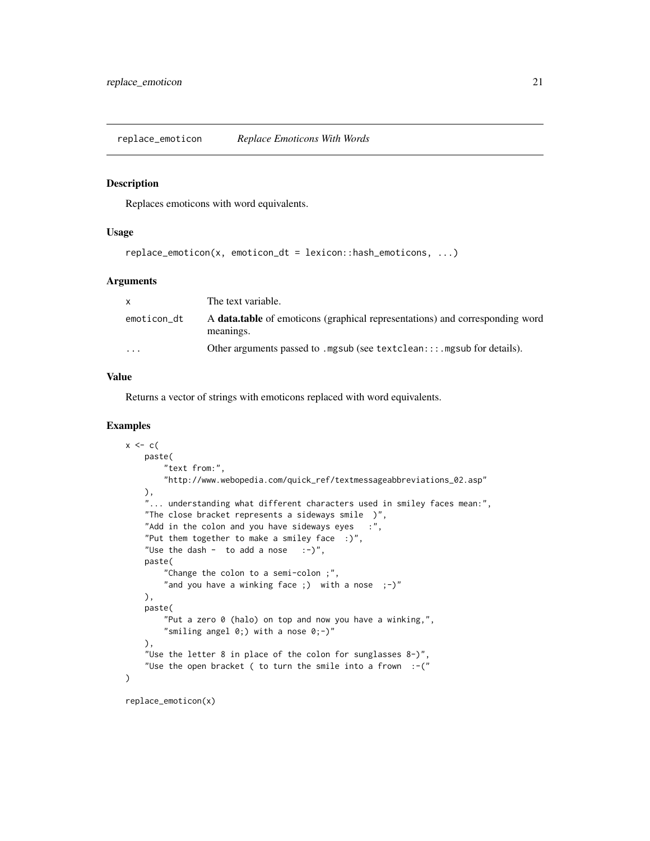<span id="page-20-0"></span>replace\_emoticon *Replace Emoticons With Words*

#### Description

Replaces emoticons with word equivalents.

#### Usage

```
replace_emoticon(x, emoticon_dt = lexicon::hash_emoticons, ...)
```
# Arguments

| X           | The text variable.                                                                               |
|-------------|--------------------------------------------------------------------------------------------------|
| emoticon_dt | A <b>data.table</b> of emoticons (graphical representations) and corresponding word<br>meanings. |
| $\cdots$    | Other arguments passed to . mgsub (see textclean:::. mgsub for details).                         |

#### Value

Returns a vector of strings with emoticons replaced with word equivalents.

# Examples

```
x \leftarrow cpaste(
        "text from:",
        "http://www.webopedia.com/quick_ref/textmessageabbreviations_02.asp"
   ),
    "... understanding what different characters used in smiley faces mean:",
   "The close bracket represents a sideways smile )",
    "Add in the colon and you have sideways eyes : ",
    "Put them together to make a smiley face : )",
    "Use the dash - to add a nose :-)",
   paste(
       "Change the colon to a semi-colon ;",
       "and you have a winking face ;) with a nose ;-)^n),
   paste(
       "Put a zero 0 (halo) on top and now you have a winking,",
       "smiling angel 0;) with a nose 0;-)"
    ),
    "Use the letter 8 in place of the colon for sunglasses 8-)",
    "Use the open bracket ( to turn the smile into a frown :- ("
)
```
replace\_emoticon(x)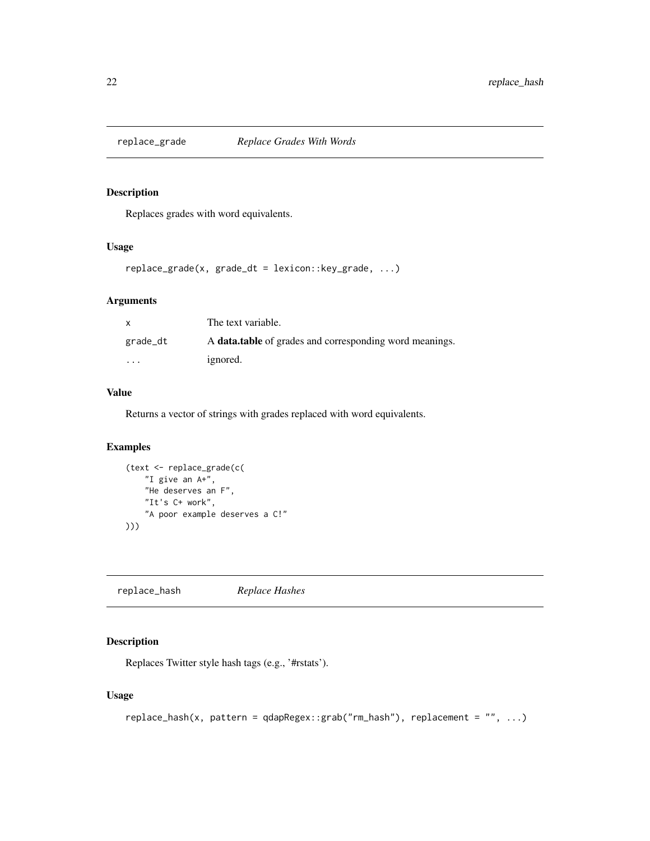<span id="page-21-0"></span>

Replaces grades with word equivalents.

# Usage

```
replace_grade(x, grade_dt = lexicon::key_grade, ...)
```
# Arguments

| X        | The text variable.                                             |
|----------|----------------------------------------------------------------|
| grade_dt | A <b>data.table</b> of grades and corresponding word meanings. |
| $\cdots$ | ignored.                                                       |

# Value

Returns a vector of strings with grades replaced with word equivalents.

# Examples

```
(text <- replace_grade(c(
    "I give an A+",
   "He deserves an F",
   "It's C+ work",
    "A poor example deserves a C!"
)))
```
replace\_hash *Replace Hashes*

# Description

Replaces Twitter style hash tags (e.g., '#rstats').

# Usage

```
replace_hash(x, pattern = qdapRegex::grab("rm_hash"), replacement = "", ...)
```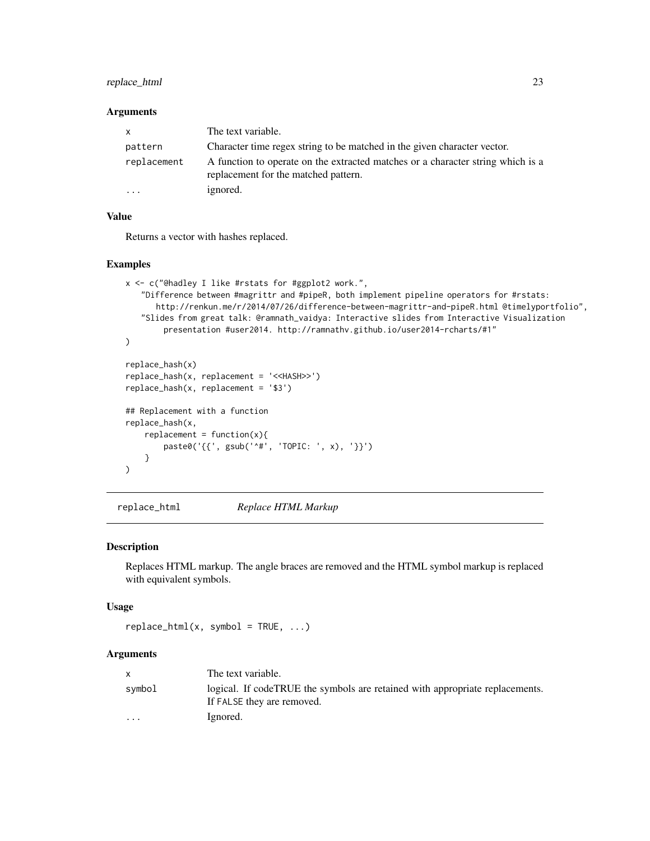# <span id="page-22-0"></span>replace\_html 23

#### **Arguments**

| $\mathsf{x}$            | The text variable.                                                                                                      |
|-------------------------|-------------------------------------------------------------------------------------------------------------------------|
| pattern                 | Character time regex string to be matched in the given character vector.                                                |
| replacement             | A function to operate on the extracted matches or a character string which is a<br>replacement for the matched pattern. |
| $\cdot$ $\cdot$ $\cdot$ | ignored.                                                                                                                |

# Value

Returns a vector with hashes replaced.

# Examples

```
x <- c("@hadley I like #rstats for #ggplot2 work.",
   "Difference between #magrittr and #pipeR, both implement pipeline operators for #rstats:
      http://renkun.me/r/2014/07/26/difference-between-magrittr-and-pipeR.html @timelyportfolio",
   "Slides from great talk: @ramnath_vaidya: Interactive slides from Interactive Visualization
       presentation #user2014. http://ramnathv.github.io/user2014-rcharts/#1"
)
replace_hash(x)
replace_hash(x, replacement = '<<HASH>>')
replace_hash(x, replacement = '$3')
## Replacement with a function
replace_hash(x,
    replacent = function(x)paste0('{{', gsub('^#', 'TOPIC: ', x), '}}')
    }
)
```
replace\_html *Replace HTML Markup*

#### Description

Replaces HTML markup. The angle braces are removed and the HTML symbol markup is replaced with equivalent symbols.

### Usage

 $replace_lttml(x, symbol = TRUE, ...)$ 

# Arguments

|                         | The text variable.                                                                                         |
|-------------------------|------------------------------------------------------------------------------------------------------------|
| symbol                  | logical. If codeTRUE the symbols are retained with appropriate replacements.<br>If FALSE they are removed. |
| $\cdot$ $\cdot$ $\cdot$ | Ignored.                                                                                                   |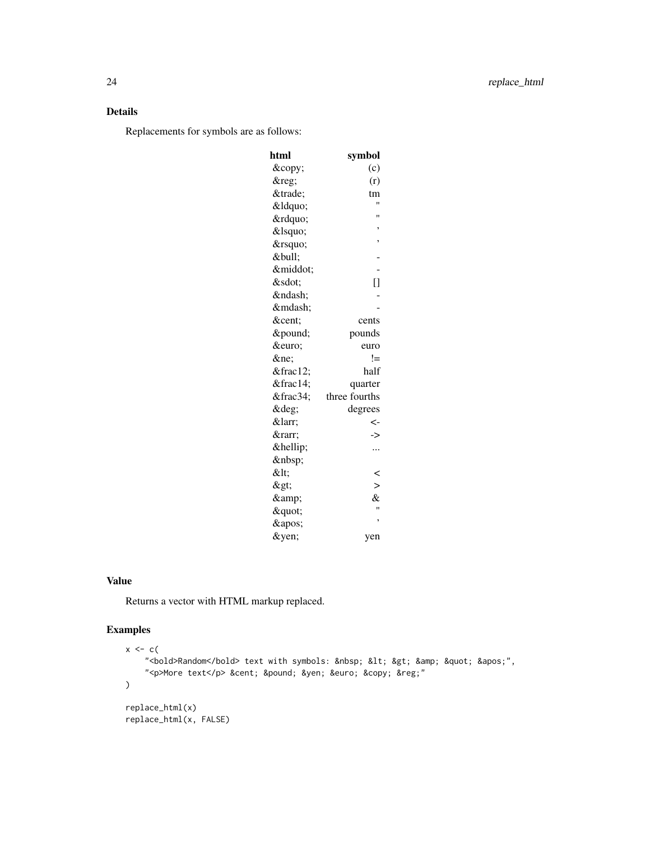# Details

Replacements for symbols are as follows:

| html | symbol        |
|------|---------------|
| ©    | (c)           |
| ®    | (r)           |
| ™    | tm            |
| "    | Ħ             |
| "    | Ħ             |
| '    | ,             |
| '    | ,             |
| •    |               |
| ·    |               |
| ⋅    | Ō             |
| –    |               |
| —    |               |
| ¢    | cents         |
| £    | pounds        |
| €    | euro          |
| ≠    | !=            |
| ½    | half          |
| ¼    | quarter       |
| ¾    | three fourths |
| °    | degrees       |
| ←    | <-            |
| →    | ->            |
| …    |               |
|      |               |
| <    | <             |
| >    | $\mathbf{I}$  |
| &    | &             |
| "    | Ħ             |
| '    | ,             |
| ¥    | yen           |

# Value

Returns a vector with HTML markup replaced.

```
x \leq -c(
    "<bold>Random</bold> text with symbols: &nbsp; &lt; &gt; &amp; &quot; &apos;",
    "<p>More text</p> &cent; &pound; &yen; &euro; &copy; &reg;"
\mathcal{L}replace_html(x)
replace_html(x, FALSE)
```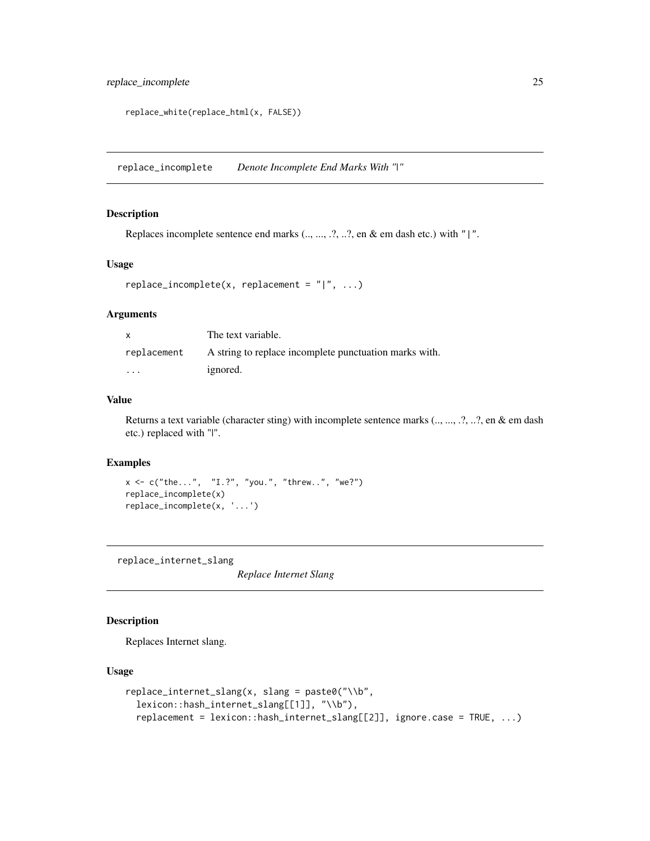<span id="page-24-0"></span>replace\_incomplete 25

```
replace_white(replace_html(x, FALSE))
```
replace\_incomplete *Denote Incomplete End Marks With "|"*

# Description

Replaces incomplete sentence end marks  $(., ..., .?, .?, e)$   $\&$  em dash etc.) with "|".

#### Usage

```
replace\_income = \text{update}(x, replacement = "|", ...)
```
# Arguments

| $\mathsf{x}$            | The text variable.                                     |
|-------------------------|--------------------------------------------------------|
| replacement             | A string to replace incomplete punctuation marks with. |
| $\cdot$ $\cdot$ $\cdot$ | ignored.                                               |

# Value

Returns a text variable (character sting) with incomplete sentence marks (.., ..., .?, ..?, en & em dash etc.) replaced with "|".

#### Examples

```
x <- c("the...", "I.?", "you.", "threw..", "we?")
replace_incomplete(x)
replace_incomplete(x, '...')
```
replace\_internet\_slang

*Replace Internet Slang*

# Description

Replaces Internet slang.

# Usage

```
replace_internet_slang(x, slang = paste0("\\b",
  lexicon::hash_internet_slang[[1]], "\\b"),
  replacement = lexicon::hash_internet_slang[[2]], ignore.case = TRUE, ...)
```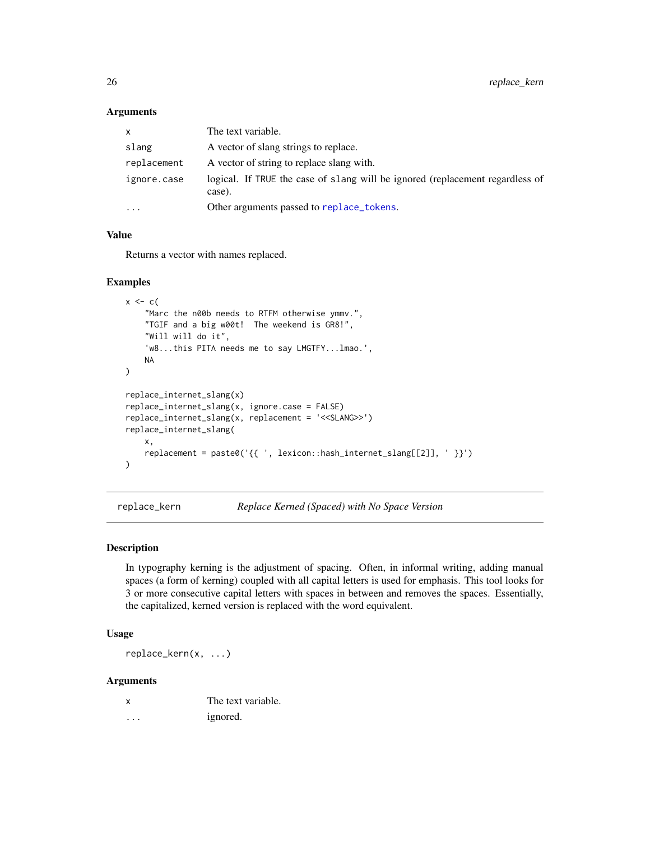#### **Arguments**

| X           | The text variable.                                                                      |
|-------------|-----------------------------------------------------------------------------------------|
| slang       | A vector of slang strings to replace.                                                   |
| replacement | A vector of string to replace slang with.                                               |
| ignore.case | logical. If TRUE the case of slang will be ignored (replacement regardless of<br>case). |
| $\cdots$    | Other arguments passed to replace_tokens.                                               |

# Value

Returns a vector with names replaced.

#### Examples

```
x \leftarrow c (
    "Marc the n00b needs to RTFM otherwise ymmv.",
    "TGIF and a big w00t! The weekend is GR8!",
    "Will will do it",
    'w8...this PITA needs me to say LMGTFY...lmao.',
    NA
)
replace_internet_slang(x)
replace_internet_slang(x, ignore.case = FALSE)
replace_internet_slang(x, replacement = '<<SLANG>>')
replace_internet_slang(
    x,
    replacement = paste0('{{ ', lexicon::hash_internet_slang[[2]], ' }}')
\mathcal{L}
```
replace\_kern *Replace Kerned (Spaced) with No Space Version*

#### Description

In typography kerning is the adjustment of spacing. Often, in informal writing, adding manual spaces (a form of kerning) coupled with all capital letters is used for emphasis. This tool looks for 3 or more consecutive capital letters with spaces in between and removes the spaces. Essentially, the capitalized, kerned version is replaced with the word equivalent.

# Usage

replace\_kern(x, ...)

#### Arguments

| $\boldsymbol{\mathsf{x}}$ | The text variable. |
|---------------------------|--------------------|
| .                         | ignored.           |

<span id="page-25-0"></span>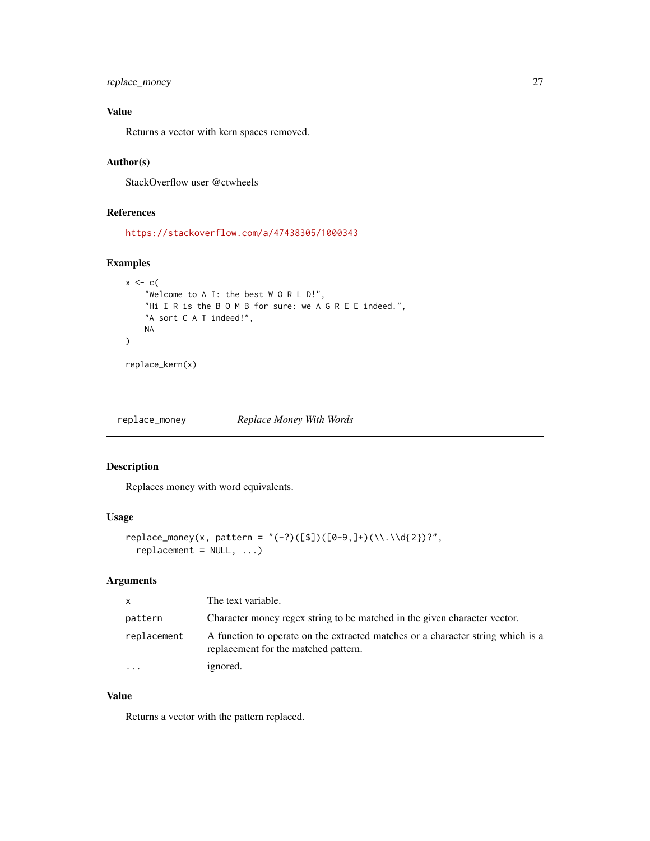<span id="page-26-0"></span>replace\_money 27

# Value

Returns a vector with kern spaces removed.

#### Author(s)

StackOverflow user @ctwheels

# References

<https://stackoverflow.com/a/47438305/1000343>

# Examples

```
x \leftarrow c"Welcome to A I: the best W O R L D!",
    "Hi I R is the B O M B for sure: we A G R E E indeed.",
    "A sort C A T indeed!",
    NA
)
replace_kern(x)
```
replace\_money *Replace Money With Words*

# Description

Replaces money with word equivalents.

# Usage

```
replace_money(x, pattern = "(-?)([$])([0-9,]+)(\\.\\\d{2})?"repla cement = NULL, ...)
```
### Arguments

| X           | The text variable.                                                                                                      |
|-------------|-------------------------------------------------------------------------------------------------------------------------|
| pattern     | Character money regex string to be matched in the given character vector.                                               |
| replacement | A function to operate on the extracted matches or a character string which is a<br>replacement for the matched pattern. |
| $\cdot$     | ignored.                                                                                                                |

# Value

Returns a vector with the pattern replaced.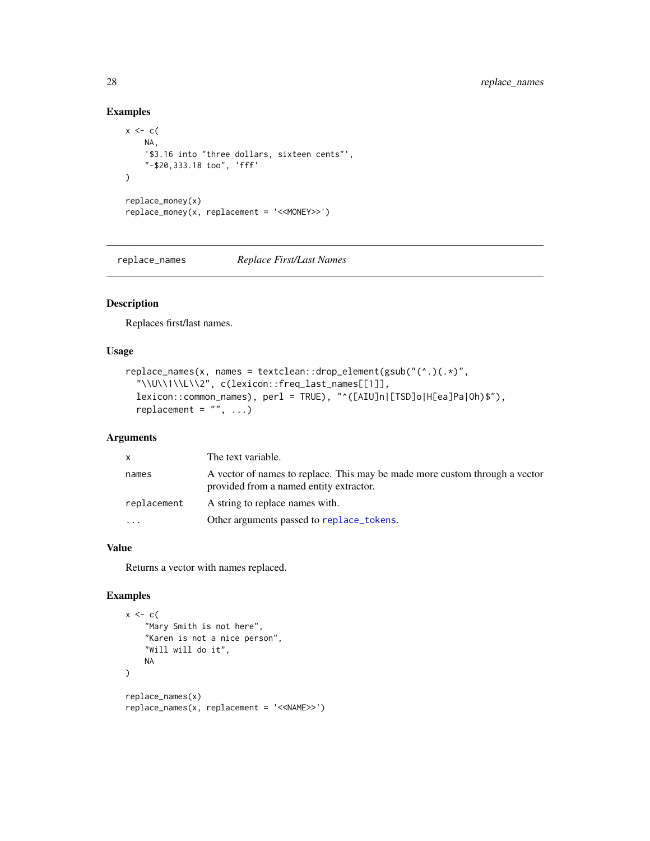# Examples

```
x \leftarrow cNA,
    '$3.16 into "three dollars, sixteen cents"',
    "-$20,333.18 too", 'fff'
\lambdareplace_money(x)
replace_money(x, replacement = '<<MONEY>>')
```
replace\_names *Replace First/Last Names*

# Description

Replaces first/last names.

# Usage

```
replace_names(x, names = textclean::drop_element(gsub("(^.)(.*)",
  "\\U\\1\\L\\2", c(lexicon::freq_last_names[[1]],
 lexicon::common_names), perl = TRUE), "^([AIU]n|[TSD]o|H[ea]Pa|Oh)$"),
  replacement = ", ...)
```
# Arguments

| $\mathsf{x}$ | The text variable.                                                                                                     |
|--------------|------------------------------------------------------------------------------------------------------------------------|
| names        | A vector of names to replace. This may be made more custom through a vector<br>provided from a named entity extractor. |
| replacement  | A string to replace names with.                                                                                        |
| $\cdot$      | Other arguments passed to replace_tokens.                                                                              |

# Value

Returns a vector with names replaced.

```
x \leftarrow c"Mary Smith is not here",
    "Karen is not a nice person",
    "Will will do it",
    NA
\mathcal{L}replace_names(x)
replace_names(x, replacement = '<<NAME>>')
```
<span id="page-27-0"></span>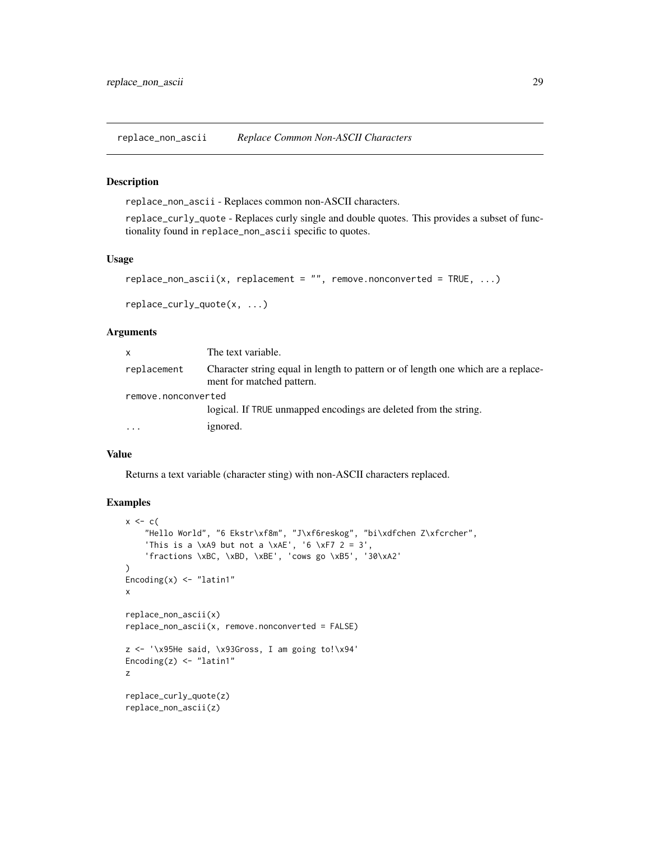<span id="page-28-0"></span>replace\_non\_ascii *Replace Common Non-ASCII Characters*

#### Description

replace\_non\_ascii - Replaces common non-ASCII characters.

replace\_curly\_quote - Replaces curly single and double quotes. This provides a subset of functionality found in replace\_non\_ascii specific to quotes.

#### Usage

```
replace\_non\_ascii(x, replacement = "", remove.nonconverted = TRUE, ...)
```
replace\_curly\_quote(x, ...)

# Arguments

| x                   | The text variable.                                                                                             |  |
|---------------------|----------------------------------------------------------------------------------------------------------------|--|
| replacement         | Character string equal in length to pattern or of length one which are a replace-<br>ment for matched pattern. |  |
| remove.nonconverted |                                                                                                                |  |
|                     | logical. If TRUE unmapped encodings are deleted from the string.                                               |  |
| $\cdots$            | ignored.                                                                                                       |  |

#### Value

Returns a text variable (character sting) with non-ASCII characters replaced.

```
x \leftarrow c"Hello World", "6 Ekstr\xf8m", "J\xf6reskog", "bi\xdfchen Z\xfcrcher",
    'This is a \xA9 but not a \xAE', '6 \xF7 2 = 3',
    'fractions \xBC, \xBD, \xBE', 'cows go \xB5', '30\xA2'
)
Encoding(x) < - "latin1"
x
replace_non_ascii(x)
replace\_non\_ascii(x, remove.nonconverted = FALSE)z <- '\x95He said, \x93Gross, I am going to!\x94'
Encoding(z) \leq "latin1"
z
replace_curly_quote(z)
replace_non_ascii(z)
```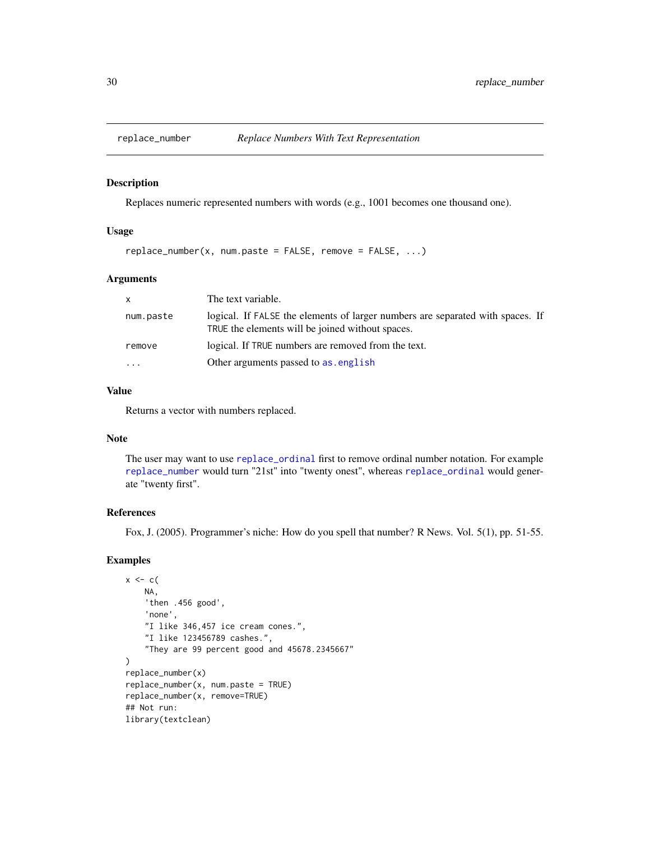<span id="page-29-1"></span><span id="page-29-0"></span>

Replaces numeric represented numbers with words (e.g., 1001 becomes one thousand one).

#### Usage

 $replace_number(x, num.parse = FALSE, remove = FALSE, ...)$ 

# Arguments

| X         | The text variable.                                                                                                                 |
|-----------|------------------------------------------------------------------------------------------------------------------------------------|
| num.paste | logical. If FALSE the elements of larger numbers are separated with spaces. If<br>TRUE the elements will be joined without spaces. |
| remove    | logical. If TRUE numbers are removed from the text.                                                                                |
| $\cdots$  | Other arguments passed to as, english                                                                                              |

# Value

Returns a vector with numbers replaced.

# Note

The user may want to use [replace\\_ordinal](#page-30-1) first to remove ordinal number notation. For example [replace\\_number](#page-29-1) would turn "21st" into "twenty onest", whereas [replace\\_ordinal](#page-30-1) would generate "twenty first".

#### References

Fox, J. (2005). Programmer's niche: How do you spell that number? R News. Vol. 5(1), pp. 51-55.

```
x \leftarrow cNA,
    'then .456 good',
    'none',
    "I like 346,457 ice cream cones.",
    "I like 123456789 cashes.",
    "They are 99 percent good and 45678.2345667"
)
replace_number(x)
replace_number(x, num.parse = TRUE)replace_number(x, remove=TRUE)
## Not run:
library(textclean)
```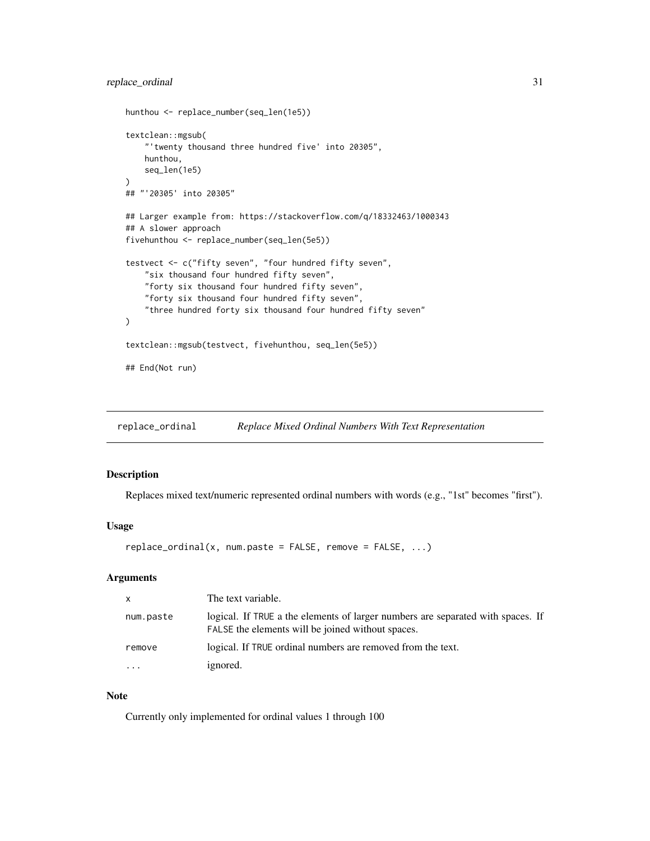```
hunthou <- replace_number(seq_len(1e5))
textclean::mgsub(
    "'twenty thousand three hundred five' into 20305",
   hunthou,
   seq_len(1e5)
)
## "'20305' into 20305"
## Larger example from: https://stackoverflow.com/q/18332463/1000343
## A slower approach
fivehunthou <- replace_number(seq_len(5e5))
testvect <- c("fifty seven", "four hundred fifty seven",
    "six thousand four hundred fifty seven",
    "forty six thousand four hundred fifty seven",
    "forty six thousand four hundred fifty seven",
    "three hundred forty six thousand four hundred fifty seven"
\mathcal{L}textclean::mgsub(testvect, fivehunthou, seq_len(5e5))
## End(Not run)
```
<span id="page-30-1"></span>replace\_ordinal *Replace Mixed Ordinal Numbers With Text Representation*

# Description

Replaces mixed text/numeric represented ordinal numbers with words (e.g., "1st" becomes "first").

#### Usage

 $replace\_ordinal(x, num.parse = FALSE, remove = FALSE, ...)$ 

# Arguments

| $\mathsf{x}$ | The text variable.                                                                                                                   |
|--------------|--------------------------------------------------------------------------------------------------------------------------------------|
| num.paste    | logical. If TRUE a the elements of larger numbers are separated with spaces. If<br>FALSE the elements will be joined without spaces. |
| remove       | logical. If TRUE ordinal numbers are removed from the text.                                                                          |
| $\ddotsc$    | ignored.                                                                                                                             |

# Note

Currently only implemented for ordinal values 1 through 100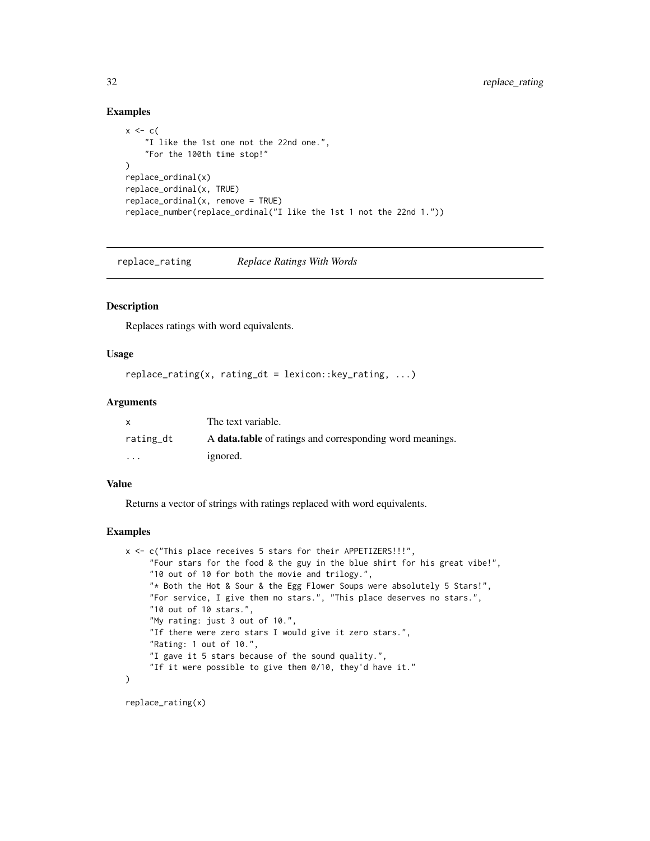#### Examples

```
x \leftarrow c"I like the 1st one not the 22nd one.",
    "For the 100th time stop!"
\lambdareplace_ordinal(x)
replace_ordinal(x, TRUE)
replace_ordinal(x, remove = TRUE)
replace_number(replace_ordinal("I like the 1st 1 not the 22nd 1."))
```
replace\_rating *Replace Ratings With Words*

#### Description

Replaces ratings with word equivalents.

# Usage

```
replace\_rating(x, rating\_dt = lexicon::key\_rating, ...)
```
# Arguments

|                         | The text variable.                                              |
|-------------------------|-----------------------------------------------------------------|
| rating_dt               | A <b>data.table</b> of ratings and corresponding word meanings. |
| $\cdot$ $\cdot$ $\cdot$ | ignored.                                                        |

#### Value

Returns a vector of strings with ratings replaced with word equivalents.

#### Examples

```
x <- c("This place receives 5 stars for their APPETIZERS!!!",
     "Four stars for the food & the guy in the blue shirt for his great vibe!",
     "10 out of 10 for both the movie and trilogy.",
     "* Both the Hot & Sour & the Egg Flower Soups were absolutely 5 Stars!",
     "For service, I give them no stars.", "This place deserves no stars.",
     "10 out of 10 stars.",
     "My rating: just 3 out of 10.",
     "If there were zero stars I would give it zero stars.",
     "Rating: 1 out of 10.",
     "I gave it 5 stars because of the sound quality.",
     "If it were possible to give them 0/10, they'd have it."
)
```
replace\_rating(x)

<span id="page-31-0"></span>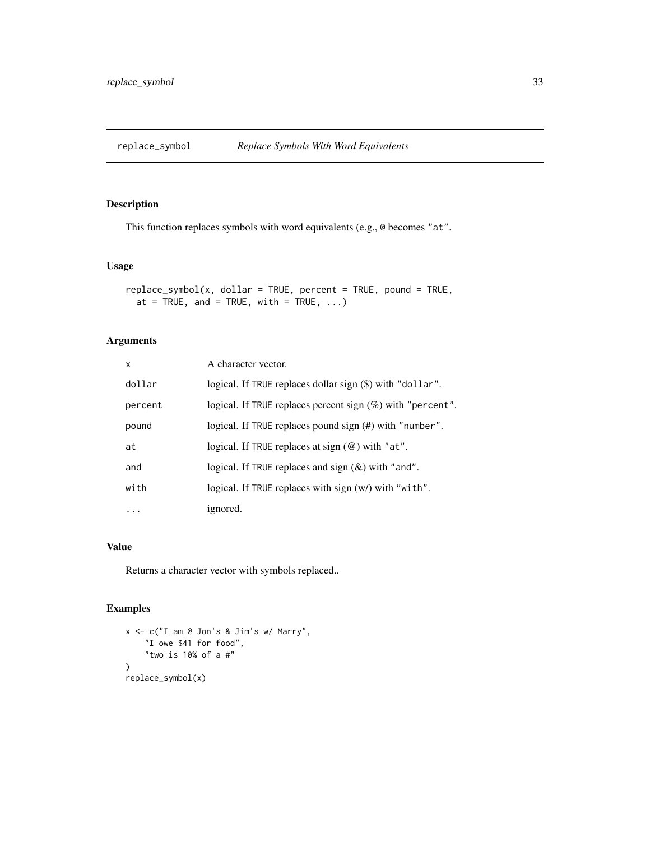<span id="page-32-0"></span>

This function replaces symbols with word equivalents (e.g., @ becomes "at".

# Usage

```
replace_symbol(x, dollar = TRUE, percent = TRUE, pound = TRUE,
  at = TRUE, and = TRUE, with = TRUE, \ldots)
```
# Arguments

| x       | A character vector.                                           |
|---------|---------------------------------------------------------------|
| dollar  | logical. If TRUE replaces dollar sign (\$) with "dollar".     |
| percent | logical. If TRUE replaces percent sign $(\%)$ with "percent". |
| pound   | logical. If TRUE replaces pound sign (#) with "number".       |
| at      | logical. If TRUE replaces at sign $(\omega)$ with "at".       |
| and     | logical. If TRUE replaces and sign $(\&)$ with "and".         |
| with    | logical. If TRUE replaces with sign (w/) with "with".         |
| .       | ignored.                                                      |

# Value

Returns a character vector with symbols replaced..

```
x <- c("I am @ Jon's & Jim's w/ Marry",
    "I owe $41 for food",
    "two is 10% of a #"
)
replace_symbol(x)
```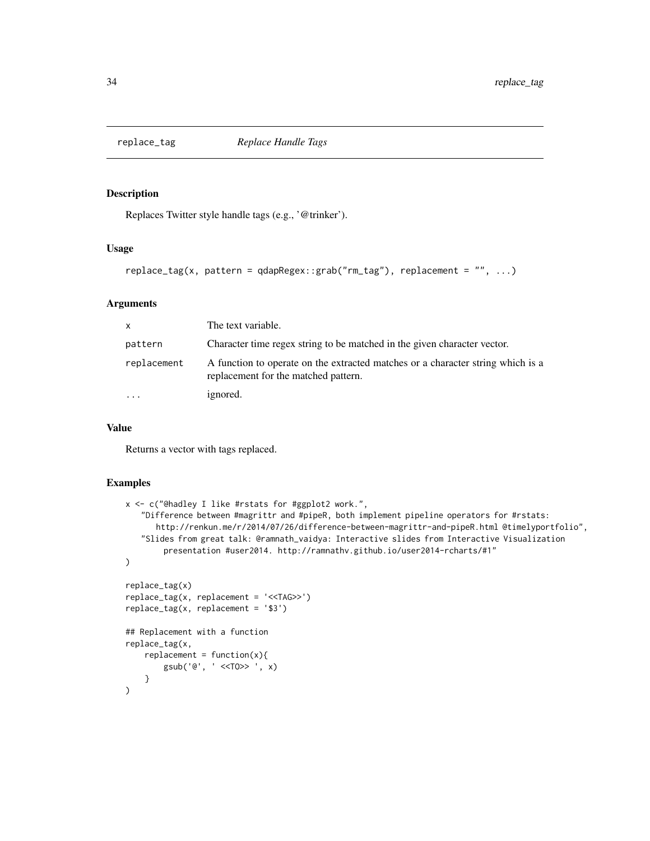<span id="page-33-0"></span>

Replaces Twitter style handle tags (e.g., '@trinker').

#### Usage

```
replace_tag(x, pattern = qdapRegex::grab("rm_tag"), replacement = "", ...)
```
# Arguments

| <b>X</b>                | The text variable.                                                                                                      |
|-------------------------|-------------------------------------------------------------------------------------------------------------------------|
| pattern                 | Character time regex string to be matched in the given character vector.                                                |
| replacement             | A function to operate on the extracted matches or a character string which is a<br>replacement for the matched pattern. |
| $\cdot$ $\cdot$ $\cdot$ | ignored.                                                                                                                |

# Value

Returns a vector with tags replaced.

```
x <- c("@hadley I like #rstats for #ggplot2 work.",
   "Difference between #magrittr and #pipeR, both implement pipeline operators for #rstats:
      http://renkun.me/r/2014/07/26/difference-between-magrittr-and-pipeR.html @timelyportfolio",
   "Slides from great talk: @ramnath_vaidya: Interactive slides from Interactive Visualization
       presentation #user2014. http://ramnathv.github.io/user2014-rcharts/#1"
)
replace_tag(x)
replace_tag(x, replacement = '<<TAG>>')
replace_tag(x, replacement = '$3')
## Replacement with a function
replace_tag(x,
   replacent = function(x)gsub('@', ' <<TO>> ', x)
   }
)
```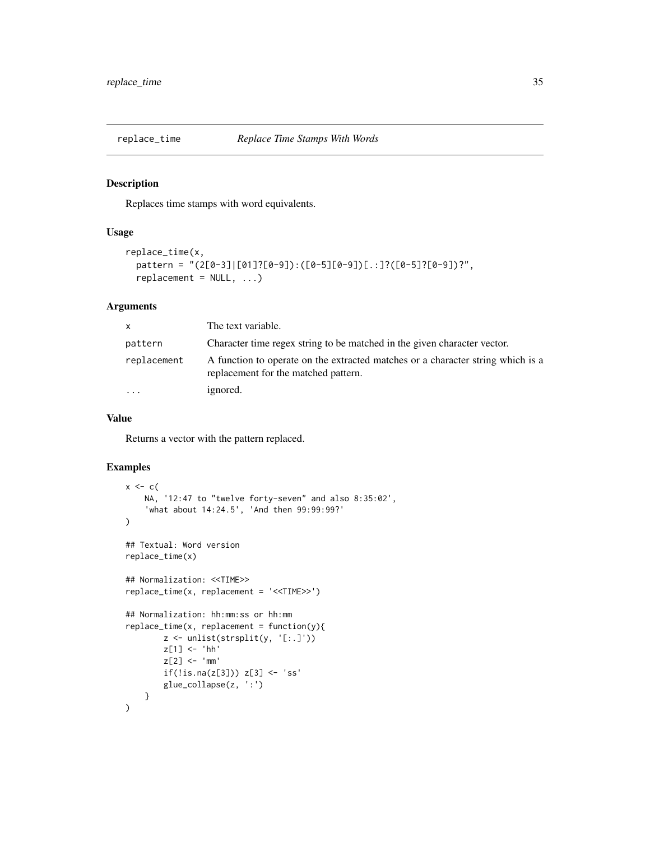<span id="page-34-0"></span>

Replaces time stamps with word equivalents.

#### Usage

```
replace_time(x,
 pattern = "(2[0-3]|[01]?[0-9]):([0-5][0-9])[.:]?([0-5]?[0-9])?",
  replacement = NULL, ...)
```
# Arguments

| x.          | The text variable.                                                                                                      |
|-------------|-------------------------------------------------------------------------------------------------------------------------|
| pattern     | Character time regex string to be matched in the given character vector.                                                |
| replacement | A function to operate on the extracted matches or a character string which is a<br>replacement for the matched pattern. |
| $\ddotsc$   | ignored.                                                                                                                |

# Value

Returns a vector with the pattern replaced.

```
x \leftarrow cNA, '12:47 to "twelve forty-seven" and also 8:35:02',
    'what about 14:24.5', 'And then 99:99:99?'
)
## Textual: Word version
replace_time(x)
## Normalization: <<TIME>>
replace_time(x, replacement = '<<TIME>>')
## Normalization: hh:mm:ss or hh:mm
replace_time(x, replacement = function(y))z <- unlist(strsplit(y, '[:.]'))
        z[1] <- 'hh'
        z[2] <- 'mm'if(!is.na(z[3])) z[3] < -'ss'
        glue_collapse(z, ':')
    }
\mathcal{L}
```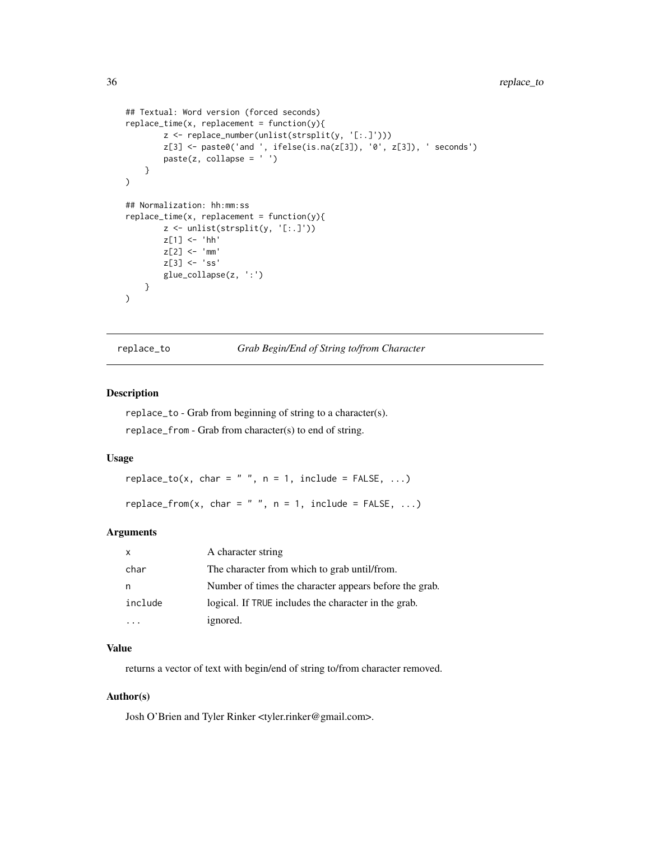```
## Textual: Word version (forced seconds)
replace_time(x, replacement = function(y))z <- replace_number(unlist(strsplit(y, '[:.]')))
       z[3] <- paste0('and ', ifelse(is.na(z[3]), '0', z[3]), ' seconds')
       paste(z, collapse = ' ' )}
)
## Normalization: hh:mm:ss
replace_time(x, replacement = function(y))z <- unlist(strsplit(y, '[:.]'))
       z[1] <- 'hh'
       z[2] <- 'mm'z[3] <- 'ss'
       glue_collapse(z, ':')
   }
)
```
replace\_to *Grab Begin/End of String to/from Character*

# Description

replace\_to - Grab from beginning of string to a character(s). replace\_from - Grab from character(s) to end of string.

#### Usage

```
replace_to(x, char = " ", n = 1, include = FALSE, ...)
```

```
replace_from(x, char = " ", n = 1, include = FALSE, ...)
```
#### Arguments

| X       | A character string                                     |
|---------|--------------------------------------------------------|
| char    | The character from which to grab until/from.           |
| n       | Number of times the character appears before the grab. |
| include | logical. If TRUE includes the character in the grab.   |
|         | ignored.                                               |

# Value

returns a vector of text with begin/end of string to/from character removed.

# Author(s)

Josh O'Brien and Tyler Rinker <tyler.rinker@gmail.com>.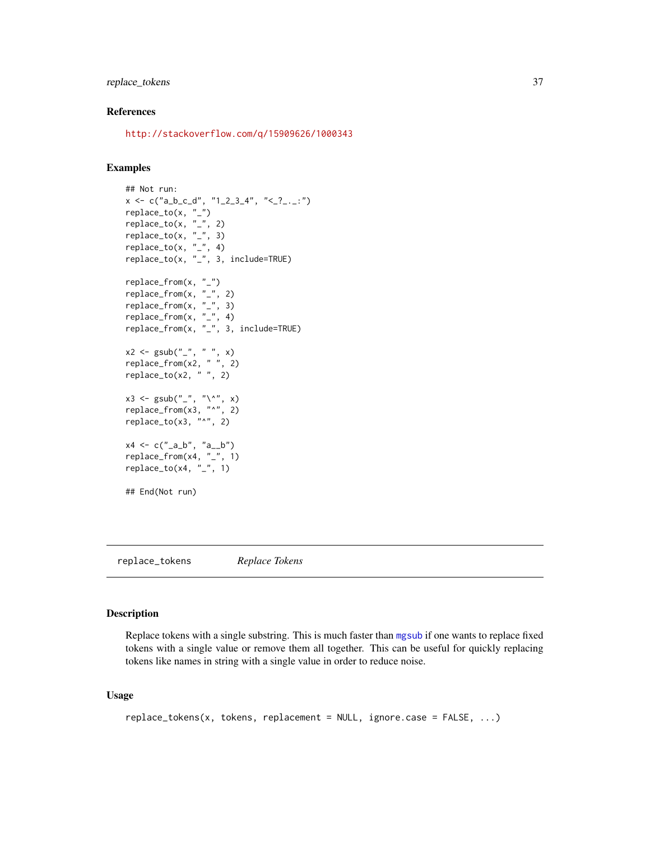# <span id="page-36-0"></span>replace\_tokens 37

#### References

<http://stackoverflow.com/q/15909626/1000343>

#### Examples

```
## Not run:
x \leq c("a_b_c_d", "1_2_3_4", "2_2_2...")replace_to(x, "_")
replace_to(x, "-'', 2)replace_to(x, "-'', 3)replace\_to(x, "-", 4)replace_to(x, "_", 3, include=TRUE)
replace_from(x, "_")
replace_from(x, "_", 2)
replace_from(x, "_", 3)
replace_from(x, \frac{n}{2}, 4)
replace_from(x, "_", 3, include=TRUE)
x2 <- gsub("_", " ", x)
replace_from(x2, " ", 2)
replace_to(x2, " ", 2)
x3 \leq - gsub("_", "\^", x)
replace_from(x3, "^", 2)
replace_to(x3, "^", 2)
x4 \leq c("a_b", "a_b")replace_from(x4, "_", 1)
replace_to(x4, "-'', 1)## End(Not run)
```
<span id="page-36-1"></span>replace\_tokens *Replace Tokens*

# Description

Replace tokens with a single substring. This is much faster than [mgsub](#page-13-1) if one wants to replace fixed tokens with a single value or remove them all together. This can be useful for quickly replacing tokens like names in string with a single value in order to reduce noise.

#### Usage

```
replace_tokens(x, tokens, replacement = NULL, ignore.case = FALSE, ...)
```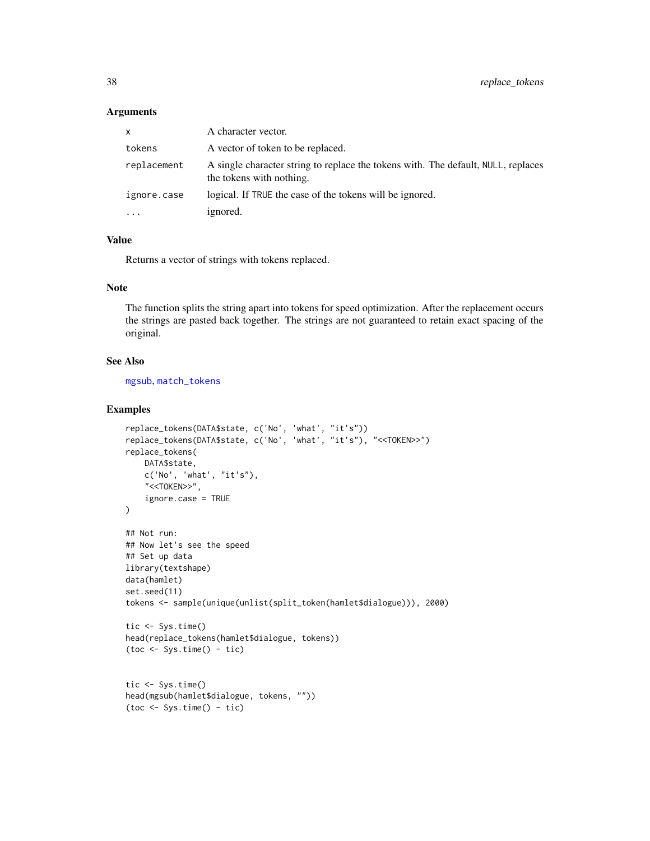#### Arguments

| X           | A character vector.                                                                                           |
|-------------|---------------------------------------------------------------------------------------------------------------|
| tokens      | A vector of token to be replaced.                                                                             |
| replacement | A single character string to replace the tokens with. The default, NULL, replaces<br>the tokens with nothing. |
| ignore.case | logical. If TRUE the case of the tokens will be ignored.                                                      |
| $\ddots$    | ignored.                                                                                                      |

# Value

Returns a vector of strings with tokens replaced.

# Note

The function splits the string apart into tokens for speed optimization. After the replacement occurs the strings are pasted back together. The strings are not guaranteed to retain exact spacing of the original.

#### See Also

[mgsub](#page-13-1), [match\\_tokens](#page-12-1)

```
replace_tokens(DATA$state, c('No', 'what', "it's"))
replace_tokens(DATA$state, c('No', 'what', "it's"), "<<TOKEN>>")
replace_tokens(
   DATA$state,
   c('No', 'what', "it's"),
    "<<TOKEN>>",
    ignore.case = TRUE
\lambda## Not run:
## Now let's see the speed
## Set up data
library(textshape)
data(hamlet)
set.seed(11)
tokens <- sample(unique(unlist(split_token(hamlet$dialogue))), 2000)
tic <- Sys.time()
head(replace_tokens(hamlet$dialogue, tokens))
(toc < - Sys.time() - tic)tic <- Sys.time()
head(mgsub(hamlet$dialogue, tokens, ""))
(toc \leq Sys.time() - tic)
```
<span id="page-37-0"></span>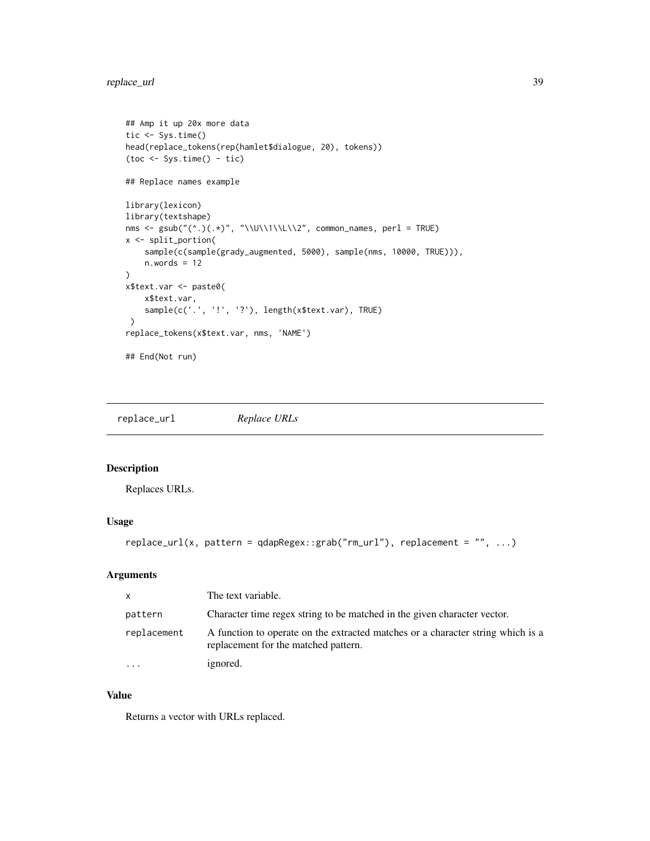# <span id="page-38-0"></span>replace\_url 39

```
## Amp it up 20x more data
tic <- Sys.time()
head(replace_tokens(rep(hamlet$dialogue, 20), tokens))
(toc \leq System) - tic)## Replace names example
library(lexicon)
library(textshape)
nms <- gsub("(^.)(.*)", "\\U\\1\\L\\2", common_names, perl = TRUE)
x <- split_portion(
    sample(c(sample(grady_augmented, 5000), sample(nms, 10000, TRUE))),
    n.words = 12\mathcal{L}x$text.var <- paste0(
    x$text.var,
    sample(c('.', '!', '?'), length(x$text.var), TRUE)
 \mathcal{L}replace_tokens(x$text.var, nms, 'NAME')
## End(Not run)
```
replace\_url *Replace URLs*

# Description

Replaces URLs.

#### Usage

```
replace_url(x, pattern = qdapRegex::grab("rm_url"), replacement = "", ...)
```
#### Arguments

| $\mathsf{x}$ | The text variable.                                                                                                      |
|--------------|-------------------------------------------------------------------------------------------------------------------------|
| pattern      | Character time regex string to be matched in the given character vector.                                                |
| replacement  | A function to operate on the extracted matches or a character string which is a<br>replacement for the matched pattern. |
| $\ddotsc$    | ignored.                                                                                                                |

# Value

Returns a vector with URLs replaced.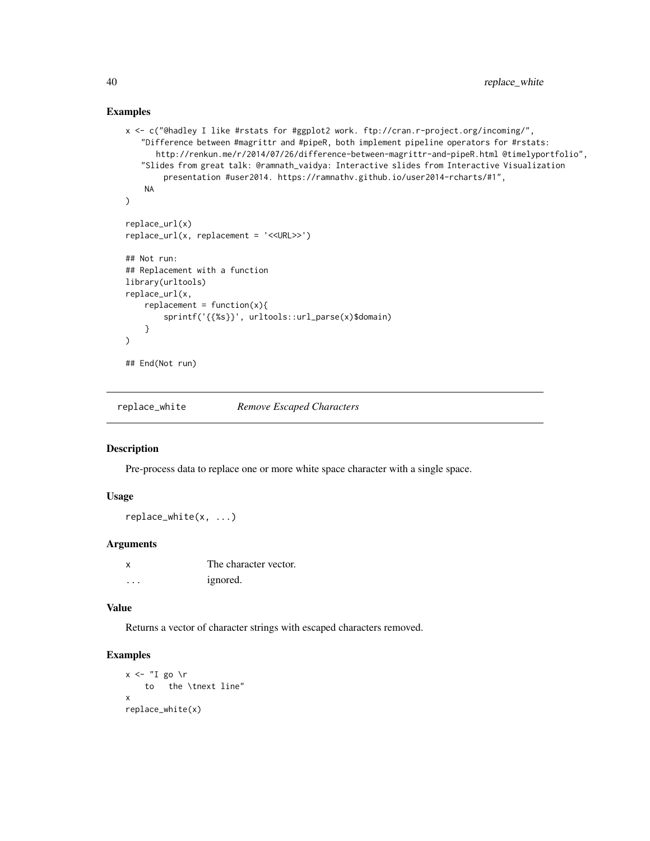#### Examples

```
x <- c("@hadley I like #rstats for #ggplot2 work. ftp://cran.r-project.org/incoming/",
   "Difference between #magrittr and #pipeR, both implement pipeline operators for #rstats:
      http://renkun.me/r/2014/07/26/difference-between-magrittr-and-pipeR.html @timelyportfolio",
   "Slides from great talk: @ramnath_vaidya: Interactive slides from Interactive Visualization
        presentation #user2014. https://ramnathv.github.io/user2014-rcharts/#1",
   NA
)
replace_url(x)
replace_url(x, replacement = '<<URL>>')
## Not run:
## Replacement with a function
library(urltools)
replace_url(x,
   replacent = function(x)sprintf('{{%s}}', urltools::url_parse(x)$domain)
   }
\mathcal{L}## End(Not run)
```
replace\_white *Remove Escaped Characters*

### Description

Pre-process data to replace one or more white space character with a single space.

# Usage

replace\_white(x, ...)

# Arguments

|   | The character vector. |
|---|-----------------------|
| . | <i>ignored.</i>       |

## Value

Returns a vector of character strings with escaped characters removed.

```
x \le - "I go \r
   to the \tnext line"
x
replace_white(x)
```
<span id="page-39-0"></span>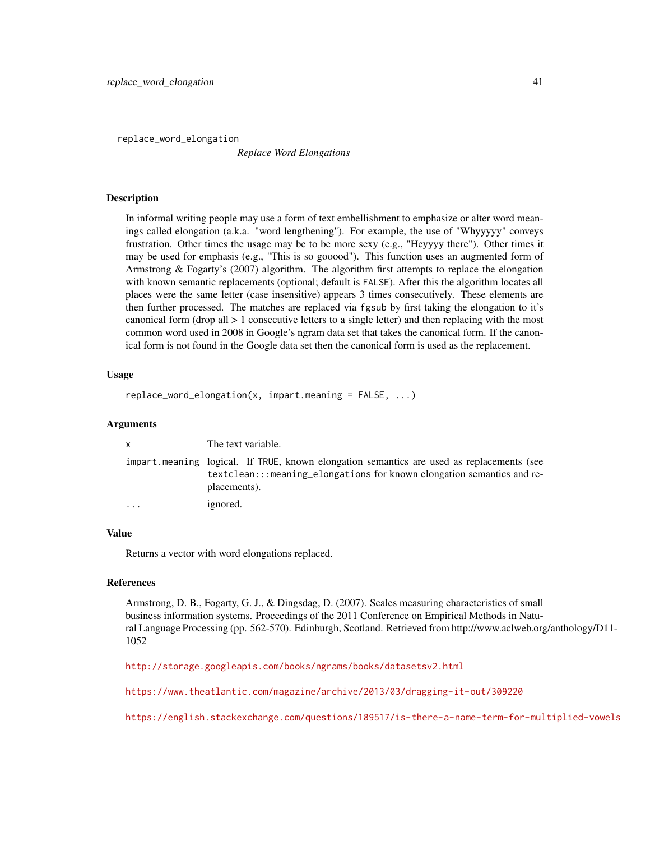<span id="page-40-0"></span>replace\_word\_elongation

*Replace Word Elongations*

#### Description

In informal writing people may use a form of text embellishment to emphasize or alter word meanings called elongation (a.k.a. "word lengthening"). For example, the use of "Whyyyyy" conveys frustration. Other times the usage may be to be more sexy (e.g., "Heyyyy there"). Other times it may be used for emphasis (e.g., "This is so gooood"). This function uses an augmented form of Armstrong & Fogarty's (2007) algorithm. The algorithm first attempts to replace the elongation with known semantic replacements (optional; default is FALSE). After this the algorithm locates all places were the same letter (case insensitive) appears 3 times consecutively. These elements are then further processed. The matches are replaced via fgsub by first taking the elongation to it's canonical form (drop all > 1 consecutive letters to a single letter) and then replacing with the most common word used in 2008 in Google's ngram data set that takes the canonical form. If the canonical form is not found in the Google data set then the canonical form is used as the replacement.

#### Usage

```
replace_word_elongation(x, impart.meaning = FALSE, ...)
```
# Arguments

| X        | The text variable.                                                                                                                                                                  |  |
|----------|-------------------------------------------------------------------------------------------------------------------------------------------------------------------------------------|--|
|          | impart meaning logical. If TRUE, known elongation semantics are used as replacements (see<br>textclean:::meaning_elongations for known elongation semantics and re-<br>placements). |  |
| $\cdots$ | ignored.                                                                                                                                                                            |  |

#### Value

Returns a vector with word elongations replaced.

#### References

Armstrong, D. B., Fogarty, G. J., & Dingsdag, D. (2007). Scales measuring characteristics of small business information systems. Proceedings of the 2011 Conference on Empirical Methods in Natural Language Processing (pp. 562-570). Edinburgh, Scotland. Retrieved from http://www.aclweb.org/anthology/D11- 1052

<http://storage.googleapis.com/books/ngrams/books/datasetsv2.html>

<https://www.theatlantic.com/magazine/archive/2013/03/dragging-it-out/309220>

<https://english.stackexchange.com/questions/189517/is-there-a-name-term-for-multiplied-vowels>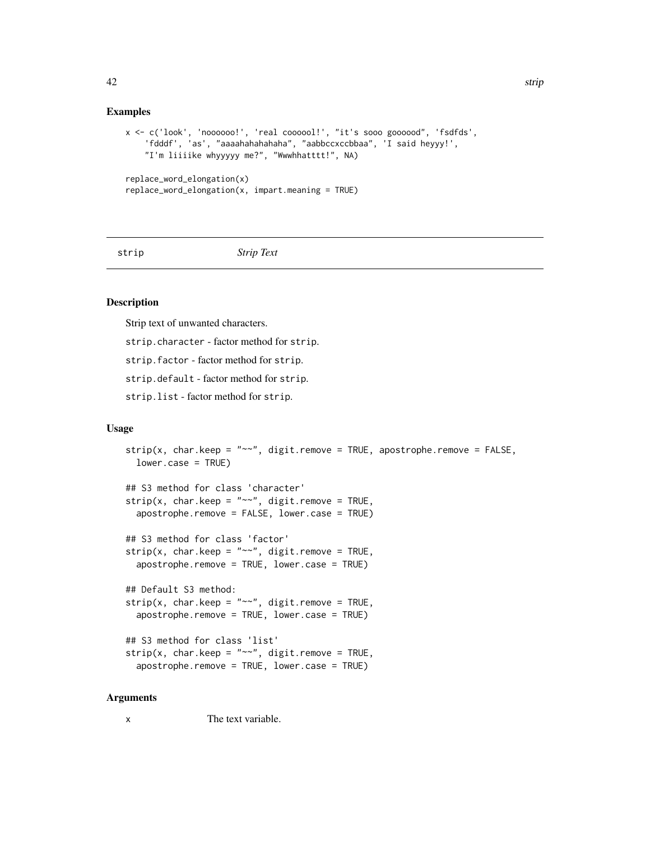#### <span id="page-41-0"></span>Examples

```
x <- c('look', 'noooooo!', 'real coooool!', "it's sooo goooood", 'fsdfds',
    'fdddf', 'as', "aaaahahahahaha", "aabbccxccbbaa", 'I said heyyy!',
    "I'm liiiike whyyyyy me?", "Wwwhhatttt!", NA)
replace_word_elongation(x)
replace_word_elongation(x, import.meaning = TRUE)
```

```
strip Strip Text
```
#### Description

Strip text of unwanted characters.

strip.character - factor method for strip.

strip.factor - factor method for strip.

strip.default - factor method for strip.

strip.list - factor method for strip.

#### Usage

```
strip(x, charkeep = "~"~", digit.remove = TRUE, apostrophe.remove = FALSE,lower.case = TRUE)
## S3 method for class 'character'
strip(x, char.keep = "~~~''~~, digit.remove = TRUE,
  apostrophe.remove = FALSE, lower.case = TRUE)
## S3 method for class 'factor'
strip(x, char.keep = "~~'', digit.remove = TRUE,
  apostrophe.remove = TRUE, lower.case = TRUE)
## Default S3 method:
strip(x, charkeep = "~"~", digit.remove = TRUE,
  apostrophe.remove = TRUE, lower.case = TRUE)
## S3 method for class 'list'
strip(x, charkeep = "~"~", digit.remove = TRUE,
  apostrophe.remove = TRUE, lower.case = TRUE)
```
# Arguments

x The text variable.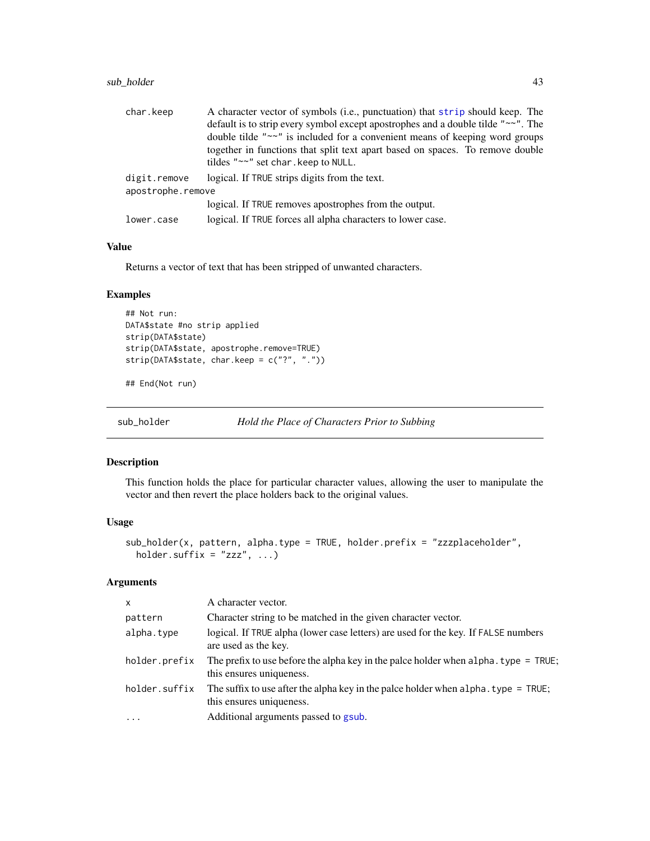# <span id="page-42-0"></span>sub\_holder 43

| char.keep         | A character vector of symbols (i.e., punctuation) that strip should keep. The                                        |
|-------------------|----------------------------------------------------------------------------------------------------------------------|
|                   | default is to strip every symbol except apostrophes and a double tilde "~~". The                                     |
|                   | double tilde " $\sim$ " is included for a convenient means of keeping word groups                                    |
|                   | together in functions that split text apart based on spaces. To remove double<br>tildes "~~" set char. keep to NULL. |
| digit.remove      | logical. If TRUE strips digits from the text.                                                                        |
| apostrophe.remove |                                                                                                                      |
|                   | logical. If TRUE removes apostrophes from the output.                                                                |
| lower.case        | logical. If TRUE forces all alpha characters to lower case.                                                          |

# Value

Returns a vector of text that has been stripped of unwanted characters.

# Examples

```
## Not run:
DATA$state #no strip applied
strip(DATA$state)
strip(DATA$state, apostrophe.remove=TRUE)
strip(DATA$state, char.keep = c("?", "."))
```
## End(Not run)

sub\_holder *Hold the Place of Characters Prior to Subbing*

## Description

This function holds the place for particular character values, allowing the user to manipulate the vector and then revert the place holders back to the original values.

#### Usage

```
sub_holder(x, pattern, alpha.type = TRUE, holder.prefix = "zzzplaceholder",
 holder.suffix = "zzz", ...
```
# Arguments

| $\times$      | A character vector.                                                                                                |
|---------------|--------------------------------------------------------------------------------------------------------------------|
| pattern       | Character string to be matched in the given character vector.                                                      |
| alpha.type    | logical. If TRUE alpha (lower case letters) are used for the key. If FALSE numbers<br>are used as the key.         |
| holder.prefix | The prefix to use before the alpha key in the palce holder when $alpha$ . type = TRUE;<br>this ensures uniqueness. |
| holder.suffix | The suffix to use after the alpha key in the palce holder when alpha. type $=$ TRUE;<br>this ensures uniqueness.   |
| $\cdot$       | Additional arguments passed to gsub.                                                                               |
|               |                                                                                                                    |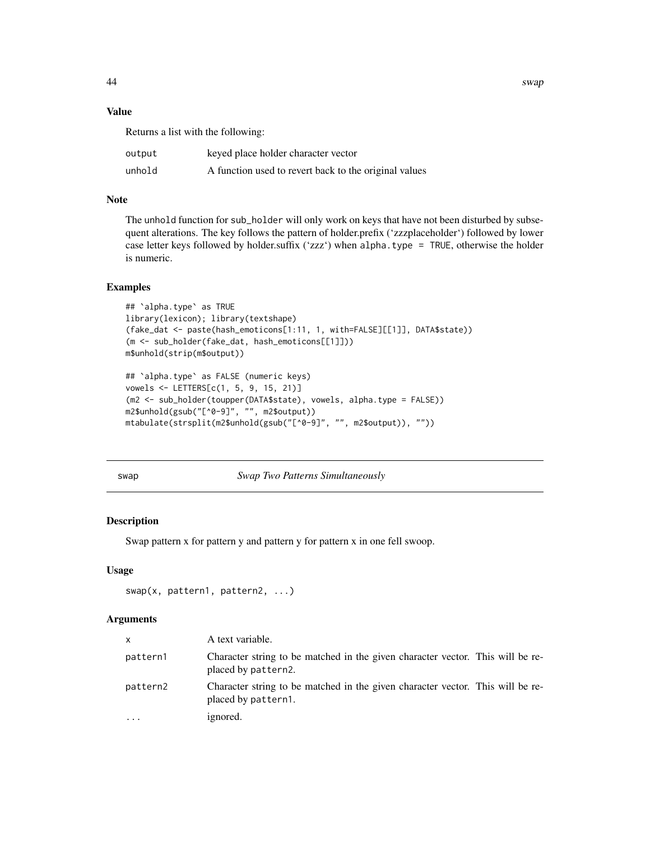44 swap

# Value

Returns a list with the following:

| output | keyed place holder character vector                   |
|--------|-------------------------------------------------------|
| unhold | A function used to revert back to the original values |

# Note

The unhold function for sub\_holder will only work on keys that have not been disturbed by subsequent alterations. The key follows the pattern of holder.prefix ('zzzplaceholder') followed by lower case letter keys followed by holder.suffix ('zzz') when alpha.type = TRUE, otherwise the holder is numeric.

# Examples

```
## `alpha.type` as TRUE
library(lexicon); library(textshape)
(fake_dat <- paste(hash_emoticons[1:11, 1, with=FALSE][[1]], DATA$state))
(m <- sub_holder(fake_dat, hash_emoticons[[1]]))
m$unhold(strip(m$output))
## `alpha.type` as FALSE (numeric keys)
vowels <- LETTERS[c(1, 5, 9, 15, 21)]
(m2 <- sub_holder(toupper(DATA$state), vowels, alpha.type = FALSE))
m2$unhold(gsub("[^0-9]", "", m2$output))
mtabulate(strsplit(m2$unhold(gsub("[^0-9]", "", m2$output)), ""))
```
swap *Swap Two Patterns Simultaneously*

# Description

Swap pattern x for pattern y and pattern y for pattern x in one fell swoop.

#### Usage

```
swap(x, pattern1, pattern2, ...)
```
#### Arguments

| $\times$ | A text variable.                                                                                      |
|----------|-------------------------------------------------------------------------------------------------------|
| pattern1 | Character string to be matched in the given character vector. This will be re-<br>placed by pattern2. |
| pattern2 | Character string to be matched in the given character vector. This will be re-<br>placed by pattern1. |
| $\cdots$ | ignored.                                                                                              |

<span id="page-43-0"></span>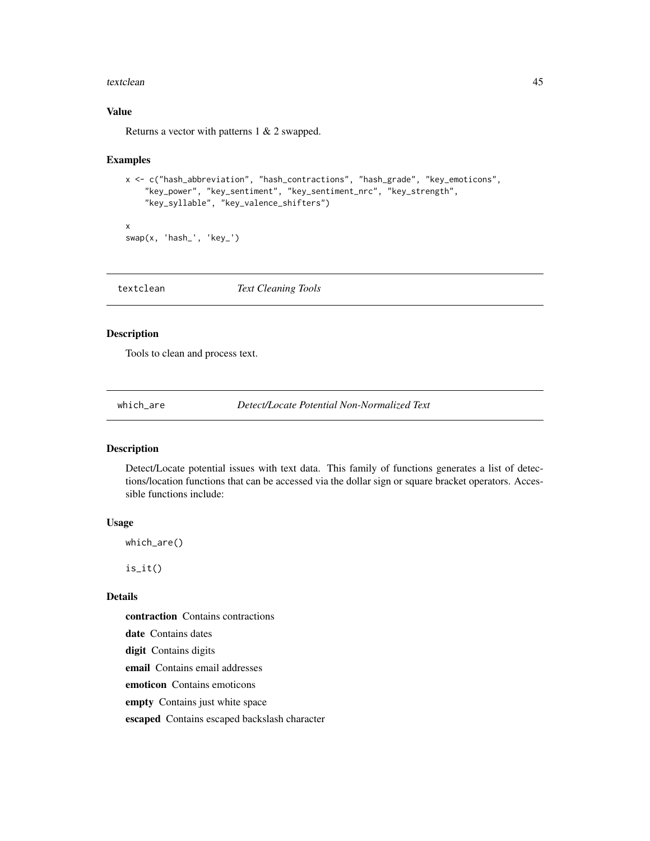#### <span id="page-44-0"></span>textclean 45

# Value

Returns a vector with patterns 1 & 2 swapped.

#### Examples

```
x <- c("hash_abbreviation", "hash_contractions", "hash_grade", "key_emoticons",
    "key_power", "key_sentiment", "key_sentiment_nrc", "key_strength",
    "key_syllable", "key_valence_shifters")
x
```

```
swap(x, 'hash_', 'key_')
```
textclean *Text Cleaning Tools*

# Description

Tools to clean and process text.

which\_are *Detect/Locate Potential Non-Normalized Text*

# Description

Detect/Locate potential issues with text data. This family of functions generates a list of detections/location functions that can be accessed via the dollar sign or square bracket operators. Accessible functions include:

#### Usage

which\_are()

 $is\_it()$ 

# Details

contraction Contains contractions

date Contains dates

digit Contains digits

email Contains email addresses

emoticon Contains emoticons

empty Contains just white space

escaped Contains escaped backslash character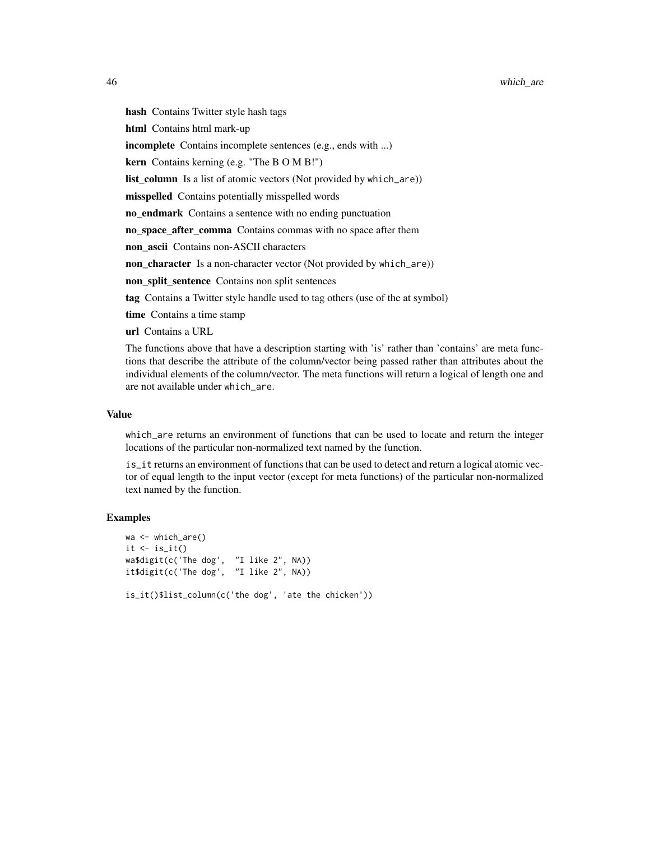hash Contains Twitter style hash tags html Contains html mark-up incomplete Contains incomplete sentences (e.g., ends with ...) kern Contains kerning (e.g. "The B O M B!") list\_column Is a list of atomic vectors (Not provided by which\_are)) misspelled Contains potentially misspelled words no endmark Contains a sentence with no ending punctuation no space after comma Contains commas with no space after them non ascii Contains non-ASCII characters non\_character Is a non-character vector (Not provided by which\_are)) non\_split\_sentence Contains non split sentences tag Contains a Twitter style handle used to tag others (use of the at symbol) time Contains a time stamp url Contains a URL The functions above that have a description starting with 'is' rather than 'contains' are meta func-

tions that describe the attribute of the column/vector being passed rather than attributes about the individual elements of the column/vector. The meta functions will return a logical of length one and are not available under which\_are.

#### Value

which\_are returns an environment of functions that can be used to locate and return the integer locations of the particular non-normalized text named by the function.

is\_it returns an environment of functions that can be used to detect and return a logical atomic vector of equal length to the input vector (except for meta functions) of the particular non-normalized text named by the function.

```
wa <- which_are()
it \leftarrow is\_it()wa$digit(c('The dog', "I like 2", NA))
it$digit(c('The dog', "I like 2", NA))
is_it()$list_column(c('the dog', 'ate the chicken'))
```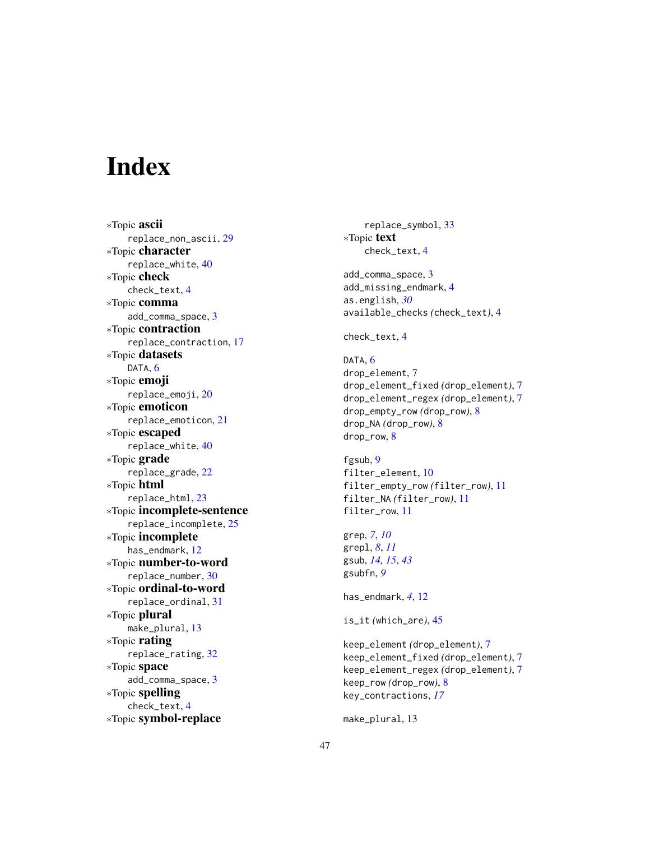# <span id="page-46-0"></span>**Index**

∗Topic ascii replace\_non\_ascii , [29](#page-28-0) ∗Topic character replace\_white , [40](#page-39-0) ∗Topic check check\_text , [4](#page-3-0) ∗Topic comma add\_comma\_space , [3](#page-2-0) ∗Topic contraction replace\_contraction , [17](#page-16-0) ∗Topic datasets DATA, [6](#page-5-0) ∗Topic emoji replace\_emoji , [20](#page-19-0) ∗Topic emoticon replace\_emoticon , [21](#page-20-0) ∗Topic escaped replace\_white , [40](#page-39-0) ∗Topic grade replace\_grade , [22](#page-21-0) ∗Topic html replace\_html , [23](#page-22-0) ∗Topic incomplete-sentence replace\_incomplete , [25](#page-24-0) ∗Topic incomplete has\_endmark , [12](#page-11-0) ∗Topic number-to-word replace\_number , [30](#page-29-0) ∗Topic ordinal-to-word replace\_ordinal , [31](#page-30-0) ∗Topic plural make\_plural, [13](#page-12-0) ∗Topic rating replace\_rating , [32](#page-31-0) ∗Topic space add\_comma\_space , [3](#page-2-0) ∗Topic spelling check\_text , [4](#page-3-0) ∗Topic symbol-replace

replace\_symbol , [33](#page-32-0) ∗Topic text check\_text , [4](#page-3-0) add\_comma\_space , [3](#page-2-0) add\_missing\_endmark , [4](#page-3-0) as.english , *[30](#page-29-0)* available\_checks *(*check\_text *)* , [4](#page-3-0) check\_text , [4](#page-3-0) DATA, [6](#page-5-0) drop\_element , [7](#page-6-0) drop\_element\_fixed *(*drop\_element *)* , [7](#page-6-0) drop\_element\_regex *(*drop\_element *)* , [7](#page-6-0) drop\_empty\_row *(*drop\_row *)* , [8](#page-7-0) drop\_NA *(*drop\_row *)* , [8](#page-7-0) drop\_row , [8](#page-7-0) fgsub , [9](#page-8-0) filter\_element , [10](#page-9-0) filter\_empty\_row *(*filter\_row *)* , [11](#page-10-0) filter\_NA *(*filter\_row *)* , [11](#page-10-0) filter\_row , [11](#page-10-0) grep , *[7](#page-6-0)* , *[10](#page-9-0)* grepl , *[8](#page-7-0)* , *[11](#page-10-0)* gsub , *[14](#page-13-0) , [15](#page-14-0)* , *[43](#page-42-0)* gsubfn , *[9](#page-8-0)* has\_endmark , *[4](#page-3-0)* , [12](#page-11-0) is\_it *(*which\_are *)* , [45](#page-44-0) keep\_element *(*drop\_element *)* , [7](#page-6-0) keep\_element\_fixed *(*drop\_element *)* , [7](#page-6-0) keep\_element\_regex *(*drop\_element *)* , [7](#page-6-0) keep\_row *(*drop\_row *)* , [8](#page-7-0) key\_contractions , *[17](#page-16-0)*

make\_plural , [13](#page-12-0)